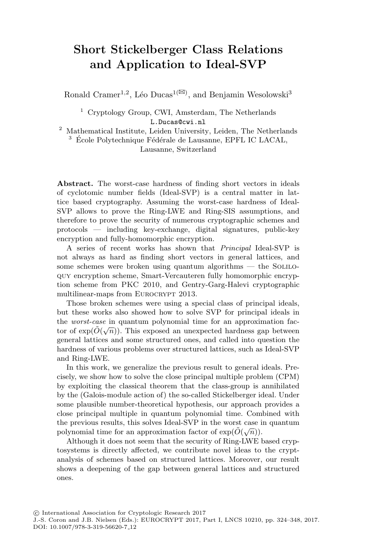# **Short Stickelberger Class Relations and Application to Ideal-SVP**

Ronald Cramer<sup>1,2</sup>, Léo Ducas<sup>1( $\boxtimes$ )</sup>, and Benjamin Wesolowski<sup>3</sup>

<sup>1</sup> Cryptology Group, CWI, Amsterdam, The Netherlands L.Ducas@cwi.nl

<sup>2</sup> Mathematical Institute, Leiden University, Leiden, The Netherlands  $3$  École Polytechnique Fédérale de Lausanne, EPFL IC LACAL, Lausanne, Switzerland

**Abstract.** The worst-case hardness of finding short vectors in ideals of cyclotomic number fields (Ideal-SVP) is a central matter in lattice based cryptography. Assuming the worst-case hardness of Ideal-SVP allows to prove the Ring-LWE and Ring-SIS assumptions, and therefore to prove the security of numerous cryptographic schemes and protocols — including key-exchange, digital signatures, public-key encryption and fully-homomorphic encryption.

A series of recent works has shown that *Principal* Ideal-SVP is not always as hard as finding short vectors in general lattices, and some schemes were broken using quantum algorithms  $-$  the SOLILOquy encryption scheme, Smart-Vercauteren fully homomorphic encryption scheme from PKC 2010, and Gentry-Garg-Halevi cryptographic multilinear-maps from EUROCRYPT 2013.

Those broken schemes were using a special class of principal ideals, but these works also showed how to solve SVP for principal ideals in the *worst-case* in quantum polynomial time for an approximation factor of  $\exp(\tilde{O}(\sqrt{n}))$ . This exposed an unexpected hardness gap between general lattices and some structured ones, and called into question the hardness of various problems over structured lattices, such as Ideal-SVP and Ring-LWE.

In this work, we generalize the previous result to general ideals. Precisely, we show how to solve the close principal multiple problem (CPM) by exploiting the classical theorem that the class-group is annihilated by the (Galois-module action of) the so-called Stickelberger ideal. Under some plausible number-theoretical hypothesis, our approach provides a close principal multiple in quantum polynomial time. Combined with the previous results, this solves Ideal-SVP in the worst case in quantum polynomial time for an approximation factor of  $\exp(\tilde{O}(\sqrt{n}))$ .

Although it does not seem that the security of Ring-LWE based cryptosystems is directly affected, we contribute novel ideas to the cryptanalysis of schemes based on structured lattices. Moreover, our result shows a deepening of the gap between general lattices and structured ones.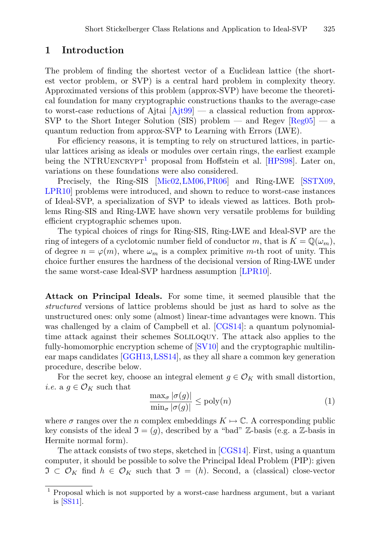### **1 Introduction**

The problem of finding the shortest vector of a Euclidean lattice (the shortest vector problem, or SVP) is a central hard problem in complexity theory. Approximated versions of this problem (approx-SVP) have become the theoretical foundation for many cryptographic constructions thanks to the average-case to worst-case reductions of Ajtai  $[A]$ it $99$  — a classical reduction from approx-SVP to the Short Integer Solution (SIS) problem — and Regev  $[Reg05]$  $[Reg05]$  — a quantum reduction from approx-SVP to Learning with Errors (LWE).

For efficiency reasons, it is tempting to rely on structured lattices, in particular lattices arising as ideals or modules over certain rings, the earliest example being the NTRUENCRYPT<sup>[1](#page-1-0)</sup> proposal from Hoffstein et al.  $[HPS98]$ . Later on, variations on these foundations were also considered.

Precisely, the Ring-SIS [\[Mic02](#page-23-1), LM06, [PR06](#page-23-3)] and Ring-LWE [\[SSTX09,](#page-24-0) [LPR10\]](#page-23-4) problems were introduced, and shown to reduce to worst-case instances of Ideal-SVP, a specialization of SVP to ideals viewed as lattices. Both problems Ring-SIS and Ring-LWE have shown very versatile problems for building efficient cryptographic schemes upon.

The typical choices of rings for Ring-SIS, Ring-LWE and Ideal-SVP are the ring of integers of a cyclotomic number field of conductor m, that is  $K = \mathbb{Q}(\omega_m)$ , of degree  $n = \varphi(m)$ , where  $\omega_m$  is a complex primitive m-th root of unity. This choice further ensures the hardness of the decisional version of Ring-LWE under the same worst-case Ideal-SVP hardness assumption [\[LPR10](#page-23-4)].

**Attack on Principal Ideals.** For some time, it seemed plausible that the *structured* versions of lattice problems should be just as hard to solve as the unstructured ones: only some (almost) linear-time advantages were known. This was challenged by a claim of Campbell et al. [\[CGS14\]](#page-22-1): a quantum polynomialtime attack against their schemes Soliloquy. The attack also applies to the fully-homomorphic encryption scheme of [\[SV10\]](#page-24-1) and the cryptographic multilinear maps candidates [\[GGH13](#page-22-2)[,LSS14](#page-23-5)], as they all share a common key generation procedure, describe below.

<span id="page-1-1"></span>For the secret key, choose an integral element  $g \in \mathcal{O}_K$  with small distortion, *i.e.* a  $q \in \mathcal{O}_K$  such that

$$
\frac{\max_{\sigma} |\sigma(g)|}{\min_{\sigma} |\sigma(g)|} \le \text{poly}(n) \tag{1}
$$

where  $\sigma$  ranges over the n complex embeddings  $K \mapsto \mathbb{C}$ . A corresponding public key consists of the ideal  $\mathfrak{I} = (g)$ , described by a "bad" Z-basis (e.g. a Z-basis in Hermite normal form).

The attack consists of two steps, sketched in [\[CGS14](#page-22-1)]. First, using a quantum computer, it should be possible to solve the Principal Ideal Problem (PIP): given  $\mathfrak{I} \subset \mathcal{O}_K$  find  $h \in \mathcal{O}_K$  such that  $\mathfrak{I} = (h)$ . Second, a (classical) close-vector

<span id="page-1-0"></span><sup>1</sup> Proposal which is not supported by a worst-case hardness argument, but a variant is [\[SS11\]](#page-24-2).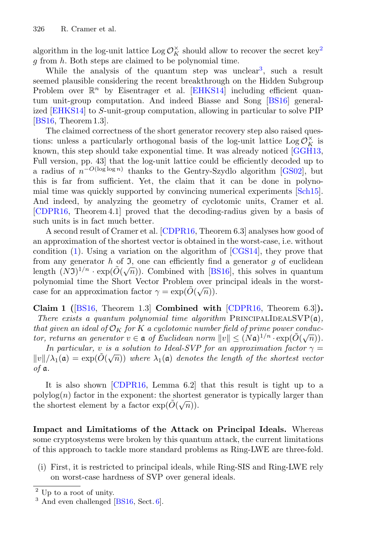algorithm in the log-unit lattice  $\text{Log } \mathcal{O}_K^{\times}$  should allow to recover the secret key<sup>[2](#page-2-0)</sup> g from h. Both steps are claimed to be polynomial time.

While the analysis of the quantum step was unclear<sup>[3](#page-2-1)</sup>, such a result seemed plausible considering the recent breakthrough on the Hidden Subgroup Problem over  $\mathbb{R}^n$  by Eisentrager et al. [\[EHKS14\]](#page-22-3) including efficient quantum unit-group computation. And indeed Biasse and Song [\[BS16](#page-22-4)] generalized [\[EHKS14\]](#page-22-3) to S-unit-group computation, allowing in particular to solve PIP [\[BS16,](#page-22-4) Theorem 1.3].

The claimed correctness of the short generator recovery step also raised questions: unless a particularly orthogonal basis of the log-unit lattice  $\text{Log } \mathcal{O}_K^{\times}$  is known, this step should take exponential time. It was already noticed [\[GGH13](#page-22-2), Full version, pp. 43] that the log-unit lattice could be efficiently decoded up to a radius of  $n^{-O(\log \log n)}$  thanks to the Gentry-Szydlo algorithm [\[GS02\]](#page-22-5), but this is far from sufficient. Yet, the claim that it can be done in polynomial time was quickly supported by convincing numerical experiments [\[Sch15\]](#page-23-6). And indeed, by analyzing the geometry of cyclotomic units, Cramer et al. [\[CDPR16](#page-22-6), Theorem 4.1] proved that the decoding-radius given by a basis of such units is in fact much better.

A second result of Cramer et al. [\[CDPR16](#page-22-6), Theorem 6.3] analyses how good of an approximation of the shortest vector is obtained in the worst-case, i.e. without condition [\(1\)](#page-1-1). Using a variation on the algorithm of [\[CGS14\]](#page-22-1), they prove that from any generator h of  $\mathfrak I$ , one can efficiently find a generator g of euclidean length  $(N3)^{1/n} \cdot \exp(\tilde{O}(\sqrt{n}))$ . Combined with [\[BS16](#page-22-4)], this solves in quantum polynomial time the Short Vector Problem over principal ideals in the worstcase for an approximation factor  $\gamma = \exp(\tilde{O}(\sqrt{n})).$ 

<span id="page-2-3"></span>**Claim 1 (**[\[BS16](#page-22-4), Theorem 1.3] **Combined with** [\[CDPR16,](#page-22-6) Theorem 6.3]**).** *There exists a quantum polynomial time algorithm* PRINCIPALIDEALSVP $(a)$ *, that given an ideal of*  $\mathcal{O}_K$  *for* K *a cyclotomic number field of prime power conductor, returns an generator*  $v \in \mathfrak{a}$  *of Euclidean norm*  $||v|| \leq (N\mathfrak{a})^{1/n} \cdot \exp(\tilde{O}(\sqrt{n}))$ *.* 

*In particular, v is a solution to Ideal-SVP for an approximation factor*  $\gamma$  =  $||v|| / \lambda_1(\mathfrak{a}) = \exp(\tilde{O}(\sqrt{n}))$  where  $\lambda_1(\mathfrak{a})$  denotes the length of the shortest vector *of* a*.*

It is also shown [\[CDPR16,](#page-22-6) Lemma 6.2] that this result is tight up to a  $\text{polylog}(n)$  factor in the exponent: the shortest generator is typically larger than the shortest element by a factor  $\exp(\tilde{O}(\sqrt{n}))$ .

<span id="page-2-2"></span>**Impact and Limitatioms of the Attack on Principal Ideals.** Whereas some cryptosystems were broken by this quantum attack, the current limitations of this approach to tackle more standard problems as Ring-LWE are three-fold.

(i) First, it is restricted to principal ideals, while Ring-SIS and Ring-LWE rely on worst-case hardness of SVP over general ideals.

<span id="page-2-0"></span><sup>2</sup> Up to a root of unity.

<span id="page-2-1"></span> $3$  And even challenged [\[BS16,](#page-22-4) Sect. [6\]](#page-16-0).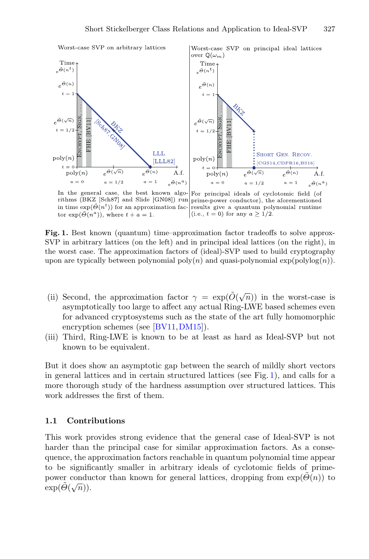

<span id="page-3-0"></span>Worst-case SVP on principal ideal lattices



In the general case, the best known algo-For principal ideals of cyclotomic field (of rithms (BKZ [Sch87] and Slide [GN08]) run prime-power conductor), the aforementioned in time  $\exp(\tilde{\Theta}(n^t))$  for an approximation fac-results give a quantum polynomial runtime (i.e.,  $t = 0$ ) for any  $a \geq 1/2$ . tor  $\exp(\tilde{\Theta}(n^a))$ , where  $t + a = 1$ .

**Fig. 1.** Best known (quantum) time–approximation factor tradeoffs to solve approx-SVP in arbitrary lattices (on the left) and in principal ideal lattices (on the right), in the worst case. The approximation factors of (ideal)-SVP used to build cryptography upon are typically between polynomial  $\text{poly}(n)$  and quasi-polynomial  $\exp(\text{polylog}(n))$ .

- (ii) Second, the approximation factor  $\gamma = \exp(\tilde{O}(\sqrt{n}))$  in the worst-case is asymptotically too large to affect any actual Ring-LWE based schemes even for advanced cryptosystems such as the state of the art fully homomorphic encryption schemes (see [\[BV11](#page-22-7), DM15]).
- (iii) Third, Ring-LWE is known to be at least as hard as Ideal-SVP but not known to be equivalent.

But it does show an asymptotic gap between the search of mildly short vectors in general lattices and in certain structured lattices (see Fig. [1\)](#page-3-0), and calls for a more thorough study of the hardness assumption over structured lattices. This work addresses the first of them.

#### **1.1 Contributions**

This work provides strong evidence that the general case of Ideal-SVP is not harder than the principal case for similar approximation factors. As a consequence, the approximation factors reachable in quantum polynomial time appear to be significantly smaller in arbitrary ideals of cyclotomic fields of primepower conductor than known for general lattices, dropping from  $\exp(\Theta(n))$  to  $\exp(\tilde{\Theta}(\sqrt{n})).$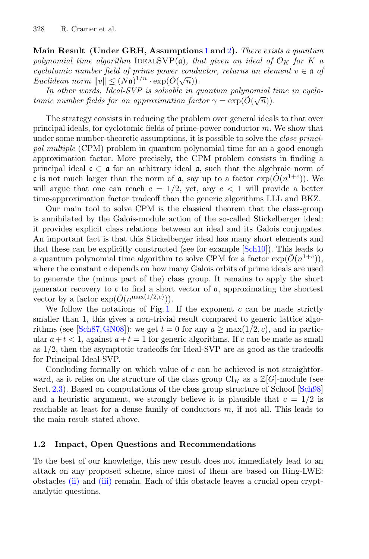**Main Result (Under GRH, Assumptions** [1](#page-9-0) **and** [2](#page-10-0)**).** *There exists a quantum polynomial time algorithm* IDEALSVP(a), that given an ideal of  $\mathcal{O}_K$  for K a *cyclotomic number field of prime power conductor, returns an element*  $v \in \mathfrak{a}$  *of*  $\text{Euclidean norm } ||v|| \leq (N\mathfrak{a})^{1/n} \cdot \exp(\tilde{O}(\sqrt{n})).$ 

*In other words, Ideal-SVP is solvable in quantum polynomial time in cyclotomic number fields for an approximation factor*  $\gamma = \exp(\tilde{O}(\sqrt{n}))$ .

The strategy consists in reducing the problem over general ideals to that over principal ideals, for cyclotomic fields of prime-power conductor  $m$ . We show that under some number-theoretic assumptions, it is possible to solve the *close principal multiple* (CPM) problem in quantum polynomial time for an a good enough approximation factor. More precisely, the CPM problem consists in finding a principal ideal  $\mathfrak{c} \subset \mathfrak{a}$  for an arbitrary ideal  $\mathfrak{a}$ , such that the algebraic norm of c is not much larger than the norm of  $\mathfrak a$ , say up to a factor  $\exp(O(n^{1+c}))$ . We will argue that one can reach  $c = 1/2$ , yet, any  $c < 1$  will provide a better time-approximation factor tradeoff than the generic algorithms LLL and BKZ.

Our main tool to solve CPM is the classical theorem that the class-group is annihilated by the Galois-module action of the so-called Stickelberger ideal: it provides explicit class relations between an ideal and its Galois conjugates. An important fact is that this Stickelberger ideal has many short elements and that these can be explicitly constructed (see for example [\[Sch10](#page-23-7)]). This leads to a quantum polynomial time algorithm to solve CPM for a factor  $\exp(O(n^{1+c}))$ , where the constant  $c$  depends on how many Galois orbits of prime ideals are used to generate the (minus part of the) class group. It remains to apply the short generator recovery to  $\mathfrak c$  to find a short vector of  $\mathfrak a$ , approximating the shortest vector by a factor  $\exp(\tilde{O}(n^{\max(1/2,c)})).$ 

We follow the notations of Fig. [1.](#page-3-0) If the exponent  $c$  can be made strictly smaller than 1, this gives a non-trivial result compared to generic lattice algo-rithms (see [\[Sch87,](#page-23-8) [GN08\]](#page-22-9)): we get  $t = 0$  for any  $a \ge \max(1/2, c)$ , and in particular  $a+t<1$ , against  $a+t=1$  for generic algorithms. If c can be made as small as 1/2, then the asymptotic tradeoffs for Ideal-SVP are as good as the tradeoffs for Principal-Ideal-SVP.

Concluding formally on which value of c can be achieved is not straightforward, as it relies on the structure of the class group  $\mathrm{Cl}_K$  as a  $\mathbb{Z}[G]$ -module (see Sect. [2.3\)](#page-9-1). Based on computations of the class group structure of Schoof [\[Sch98](#page-23-9)] and a heuristic argument, we strongly believe it is plausible that  $c = 1/2$  is reachable at least for a dense family of conductors  $m$ , if not all. This leads to the main result stated above.

#### **1.2 Impact, Open Questions and Recommendations**

To the best of our knowledge, this new result does not immediately lead to an attack on any proposed scheme, since most of them are based on Ring-LWE: obstacles [\(ii\)](#page-2-2) and [\(iii\)](#page-2-2) remain. Each of this obstacle leaves a crucial open cryptanalytic questions.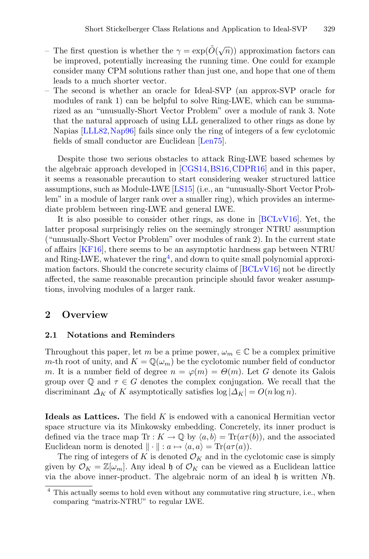- The first question is whether the  $\gamma = \exp(\tilde{O}(\sqrt{n}))$  approximation factors can be improved, potentially increasing the running time. One could for example consider many CPM solutions rather than just one, and hope that one of them leads to a much shorter vector.
- The second is whether an oracle for Ideal-SVP (an approx-SVP oracle for modules of rank 1) can be helpful to solve Ring-LWE, which can be summarized as an "unusually-Short Vector Problem" over a module of rank 3. Note that the natural approach of using LLL generalized to other rings as done by Napias [\[LLL82](#page-23-10)[,Nap96](#page-23-11)] fails since only the ring of integers of a few cyclotomic fields of small conductor are Euclidean [\[Len75\]](#page-23-12).

Despite those two serious obstacles to attack Ring-LWE based schemes by the algebraic approach developed in [\[CGS14](#page-22-1)[,BS16,](#page-22-4)[CDPR16\]](#page-22-6) and in this paper, it seems a reasonable precaution to start considering weaker structured lattice assumptions, such as Module-LWE [\[LS15](#page-23-13)] (i.e., an "unusually-Short Vector Problem" in a module of larger rank over a smaller ring), which provides an intermediate problem between ring-LWE and general LWE.

It is also possible to consider other rings, as done in [\[BCLvV16\]](#page-21-1). Yet, the latter proposal surprisingly relies on the seemingly stronger NTRU assumption ("unusually-Short Vector Problem" over modules of rank 2). In the current state of affairs [\[KF16](#page-23-14)], there seems to be an asymptotic hardness gap between NTRU and Ring-LWE, whatever the ring<sup>[4](#page-5-0)</sup>, and down to quite small polynomial approximation factors. Should the concrete security claims of [\[BCLvV16](#page-21-1)] not be directly affected, the same reasonable precaution principle should favor weaker assumptions, involving modules of a larger rank.

### **2 Overview**

#### **2.1 Notations and Reminders**

Throughout this paper, let m be a prime power,  $\omega_m \in \mathbb{C}$  be a complex primitive m-th root of unity, and  $K = \mathbb{Q}(\omega_m)$  be the cyclotomic number field of conductor m. It is a number field of degree  $n = \varphi(m) = \Theta(m)$ . Let G denote its Galois group over Q and  $\tau \in G$  denotes the complex conjugation. We recall that the discriminant  $\Delta_K$  of K asymptotically satisfies  $\log |\Delta_K| = O(n \log n)$ .

**Ideals as Lattices.** The field K is endowed with a canonical Hermitian vector space structure via its Minkowsky embedding. Concretely, its inner product is defined via the trace map  $\text{Tr} : K \to \mathbb{Q}$  by  $\langle a, b \rangle = \text{Tr}(a\tau(b))$ , and the associated Euclidean norm is denoted  $\|\cdot\|$ :  $a \mapsto \langle a, a \rangle = \text{Tr}(a\tau(a)).$ 

The ring of integers of K is denoted  $\mathcal{O}_K$  and in the cyclotomic case is simply given by  $\mathcal{O}_K = \mathbb{Z}[\omega_m]$ . Any ideal h of  $\mathcal{O}_K$  can be viewed as a Euclidean lattice via the above inner-product. The algebraic norm of an ideal  $\mathfrak h$  is written  $N\mathfrak h$ .

<span id="page-5-0"></span><sup>4</sup> This actually seems to hold even without any commutative ring structure, i.e., when comparing "matrix-NTRU" to regular LWE.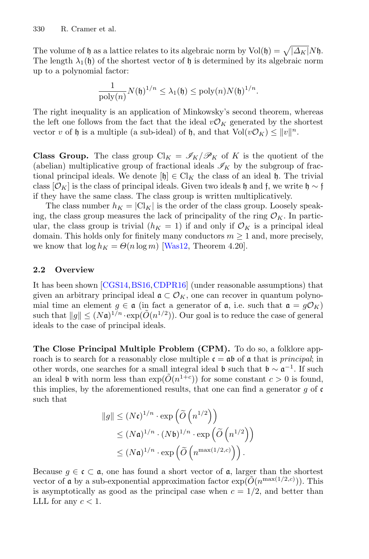The volume of h as a lattice relates to its algebraic norm by  $Vol(f) = \sqrt{|\Delta_K| N f}.$ The length  $\lambda_1(\mathfrak{h})$  of the shortest vector of  $\mathfrak{h}$  is determined by its algebraic norm up to a polynomial factor:

$$
\frac{1}{\mathrm{poly}(n)} N(\mathfrak{h})^{1/n} \leq \lambda_1(\mathfrak{h}) \leq \mathrm{poly}(n) N(\mathfrak{h})^{1/n}.
$$

The right inequality is an application of Minkowsky's second theorem, whereas the left one follows from the fact that the ideal  $v\mathcal{O}_K$  generated by the shortest vector v of h is a multiple (a sub-ideal) of h, and that  $Vol(v\mathcal{O}_K) \leq ||v||^n$ .

**Class Group.** The class group  $\mathrm{Cl}_K = \mathscr{I}_K/\mathscr{P}_K$  of K is the quotient of the (abelian) multiplicative group of fractional ideals  $\mathscr{I}_K$  by the subgroup of fractional principal ideals. We denote  $[\mathfrak{h}] \in \mathrm{Cl}_K$  the class of an ideal  $\mathfrak{h}$ . The trivial class  $[\mathcal{O}_K]$  is the class of principal ideals. Given two ideals h and f, we write h ~ f if they have the same class. The class group is written multiplicatively.

The class number  $h_K = |C|_K$  is the order of the class group. Loosely speaking, the class group measures the lack of principality of the ring  $\mathcal{O}_K$ . In particular, the class group is trivial  $(h_K = 1)$  if and only if  $\mathcal{O}_K$  is a principal ideal domain. This holds only for finitely many conductors  $m \geq 1$  and, more precisely, we know that  $\log h_K = \Theta(n \log m)$  [\[Was12,](#page-24-3) Theorem 4.20].

### **2.2 Overview**

It has been shown [\[CGS14,](#page-22-1)[BS16](#page-22-4),[CDPR16\]](#page-22-6) (under reasonable assumptions) that given an arbitrary principal ideal  $\mathfrak{a} \subset \mathcal{O}_K$ , one can recover in quantum polynomial time an element  $g \in \mathfrak{a}$  (in fact a generator of  $\mathfrak{a}$ , i.e. such that  $\mathfrak{a} = g\mathcal{O}_K$ ) such that  $||g|| \leq (N\mathfrak{a})^{1/n} \cdot \exp(\tilde{O}(n^{1/2}))$ . Our goal is to reduce the case of general ideals to the case of principal ideals.

**The Close Principal Multiple Problem (CPM).** To do so, a folklore approach is to search for a reasonably close multiple  $\mathfrak{c} = \mathfrak{a} \mathfrak{b}$  of  $\mathfrak{a}$  that is *principal*; in other words, one searches for a small integral ideal b such that  $\mathfrak{b} \sim \mathfrak{a}^{-1}$ . If such an ideal b with norm less than  $\exp(O(n^{1+c}))$  for some constant  $c > 0$  is found, this implies, by the aforementioned results, that one can find a generator  $q$  of  $\mathfrak c$ such that

$$
||g|| \leq (N\mathfrak{c})^{1/n} \cdot \exp\left(\widetilde{O}\left(n^{1/2}\right)\right)
$$
  
\$\leq (N\mathfrak{a})^{1/n} \cdot (N\mathfrak{b})^{1/n} \cdot \exp\left(\widetilde{O}\left(n^{1/2}\right)\right)\$  
\$\leq (N\mathfrak{a})^{1/n} \cdot \exp\left(\widetilde{O}\left(n^{\max(1/2,c)}\right)\right).

Because  $g \in \mathfrak{c} \subset \mathfrak{a}$ , one has found a short vector of  $\mathfrak{a}$ , larger than the shortest vector of **a** by a sub-exponential approximation factor  $\exp(\tilde{O}(n^{\max(1/2,c)}))$ . This is asymptotically as good as the principal case when  $c = 1/2$ , and better than LLL for any  $c < 1$ .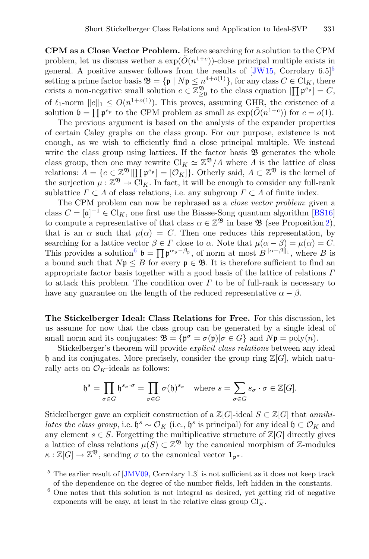**CPM as a Close Vector Problem.** Before searching for a solution to the CPM problem, let us discuss wether a  $\exp(\tilde{O}(n^{1+c}))$ -close principal multiple exists in general. A positive answer follows from the results of  $[JW15, Corrolary 6.5]$  $[JW15, Corrolary 6.5]$  $[JW15, Corrolary 6.5]$  $[JW15, Corrolary 6.5]$ <sup>5</sup> setting a prime factor basis  $\mathfrak{B} = \{ \mathfrak{p} \mid N\mathfrak{p} \leq n^{4+o(1)} \}$ , for any class  $C \in \mathrm{Cl}_K$ , there exists a non-negative small solution  $e \in \mathbb{Z}_{\geq 0}^{\mathfrak{B}}$  to the class equation  $[\prod_{n=0}^{\infty} p^{e_{\mathfrak{p}}}]=C$ , of  $\ell_1$ -norm  $||e||_1 \leq O(n^{1+o(1)})$ . This proves, assuming GHR, the existence of a solution  $\mathfrak{b} = \prod \mathfrak{p}^{e_{\mathfrak{p}}}$  to the CPM problem as small as  $\exp(\tilde{O}(n^{1+c}))$  for  $c = o(1)$ .

The previous argument is based on the analysis of the expander properties of certain Caley graphs on the class group. For our purpose, existence is not enough, as we wish to efficiently find a close principal multiple. We instead write the class group using lattices. If the factor basis  $\mathfrak{B}$  generates the whole class group, then one may rewrite  $Cl_K \simeq \mathbb{Z}^3/\Lambda$  where  $\Lambda$  is the lattice of class relations:  $\Lambda = \{e \in \mathbb{Z}^{\mathfrak{B}} | \prod_{k=1}^{\infty} \mathfrak{p}^{e_{\mathfrak{p}}} \}$ . Otherly said,  $\Lambda \subset \mathbb{Z}^{\mathfrak{B}}$  is the kernel of the surjection  $\mu : \mathbb{Z}^{\mathfrak{B}} \to \mathrm{Cl}_K$ . In fact, it will be enough to consider any full-rank sublattice  $\Gamma \subset \Lambda$  of class relations, i.e. any subgroup  $\Gamma \subset \Lambda$  of finite index.

The CPM problem can now be rephrased as a *close vector problem*: given a class  $C = [\mathfrak{a}]^{-1} \in \mathrm{Cl}_K$ , one first use the Biasse-Song quantum algorithm [\[BS16\]](#page-22-4) to compute a representative of that class  $\alpha \in \mathbb{Z}^{\mathfrak{B}}$  in base  $\mathfrak{B}$  (see Proposition [2\)](#page-11-0), that is an  $\alpha$  such that  $\mu(\alpha) = C$ . Then one reduces this representation, by searching for a lattice vector  $\beta \in \Gamma$  close to  $\alpha$ . Note that  $\mu(\alpha - \beta) = \mu(\alpha) = C$ . This provides a solution<sup>[6](#page-7-1)</sup>  $\mathfrak{b} = \prod \mathfrak{p}^{\alpha_{\mathfrak{p}}-\beta_{\mathfrak{p}}},$  of norm at most  $B^{\|\alpha-\beta\|_1}$ , where B is a bound such that  $N\mathfrak{p} \leq B$  for every  $\mathfrak{p} \in \mathfrak{B}$ . It is therefore sufficient to find an appropriate factor basis together with a good basis of the lattice of relations  $\Gamma$ to attack this problem. The condition over  $\Gamma$  to be of full-rank is necessary to have any guarantee on the length of the reduced representative  $\alpha - \beta$ .

**The Stickelberger Ideal: Class Relations for Free.** For this discussion, let us assume for now that the class group can be generated by a single ideal of small norm and its conjugates:  $\mathfrak{B} = {\mathfrak{p}^\sigma = \sigma(\mathfrak{p}) | \sigma \in G}$  and  $N\mathfrak{p} = \text{poly}(n)$ .

Stickelberger's theorem will provide *explicit class relations* between any ideal h and its conjugates. More precisely, consider the group ring  $\mathbb{Z}[G]$ , which naturally acts on  $\mathcal{O}_K$ -ideals as follows:

$$
\mathfrak{h}^s = \prod_{\sigma \in G} \mathfrak{h}^{s_{\sigma} \cdot \sigma} = \prod_{\sigma \in G} \sigma(\mathfrak{h})^{s_{\sigma}} \quad \text{where } s = \sum_{\sigma \in G} s_{\sigma} \cdot \sigma \in \mathbb{Z}[G].
$$

Stickelberger gave an explicit construction of a  $\mathbb{Z}[G]$ -ideal  $S \subset \mathbb{Z}[G]$  that *annihilates the class group*, i.e.  $\mathfrak{h}^s \sim \mathcal{O}_K$  (i.e.,  $\mathfrak{h}^s$  is principal) for any ideal  $\mathfrak{h} \subset \mathcal{O}_K$  and any element  $s \in S$ . Forgetting the multiplicative structure of  $\mathbb{Z}[G]$  directly gives a lattice of class relations  $\mu(S) \subset \mathbb{Z}^{\mathfrak{B}}$  by the canonical morphism of Z-modules  $\kappa : \mathbb{Z}[G] \to \mathbb{Z}^{\mathfrak{B}}$ , sending  $\sigma$  to the canonical vector  $\mathbf{1}_{\mathfrak{p}^{\sigma}}$ .

<span id="page-7-0"></span> $\frac{5}{6}$  The earlier result of [\[JMV09,](#page-22-10) Corrolary 1.3] is not sufficient as it does not keep track of the dependence on the degree of the number fields, left hidden in the constants.

<span id="page-7-1"></span> $6$  One notes that this solution is not integral as desired, yet getting rid of negative exponents will be easy, at least in the relative class group  $\text{Cl}_{K}^{-}$ .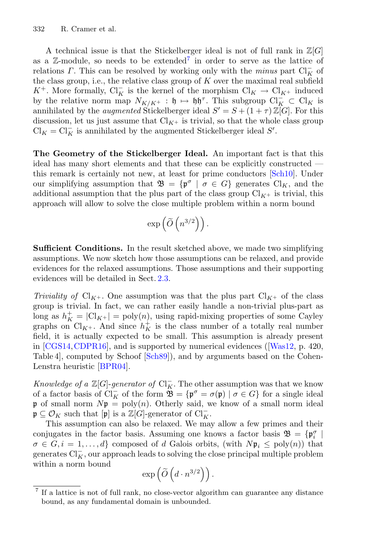A technical issue is that the Stickelberger ideal is not of full rank in  $\mathbb{Z}[G]$ as a  $\mathbb{Z}$ -module, so needs to be extended<sup>[7](#page-8-0)</sup> in order to serve as the lattice of relations  $\Gamma$ . This can be resolved by working only with the *minus* part  $\text{Cl}_{K}^-$  of the class group, i.e., the relative class group of  $K$  over the maximal real subfield  $K^+$ . More formally,  $Cl_K^-$  is the kernel of the morphism  $Cl_K \to Cl_{K^+}$  induced by the relative norm map  $N_{K/K^+}$ :  $\mathfrak{h} \mapsto \mathfrak{h} \mathfrak{h}^{\tau}$ . This subgroup  $\text{Cl}_{K}^- \subset \text{Cl}_K$  is annihilated by the *augmented* Stickelberger ideal  $S' = S + (1 + \tau) \mathbb{Z}[G]$ . For this discussion, let us just assume that  $Cl_{K^+}$  is trivial, so that the whole class group  $\text{Cl}_K = \text{Cl}_K^-$  is annihilated by the augmented Stickelberger ideal S'.

**The Geometry of the Stickelberger Ideal.** An important fact is that this ideal has many short elements and that these can be explicitly constructed this remark is certainly not new, at least for prime conductors [\[Sch10\]](#page-23-7). Under our simplifying assumption that  $\mathfrak{B} = {\mathfrak{p}^\sigma \mid \sigma \in G}$  generates  $\text{Cl}_K$ , and the additional assumption that the plus part of the class group  $\text{Cl}_{K^+}$  is trivial, this approach will allow to solve the close multiple problem within a norm bound

$$
\exp\left(\widetilde{O}\left(n^{3/2}\right)\right).
$$

**Sufficient Conditions.** In the result sketched above, we made two simplifying assumptions. We now sketch how those assumptions can be relaxed, and provide evidences for the relaxed assumptions. Those assumptions and their supporting evidences will be detailed in Sect. [2.3.](#page-9-1)

*Triviality of*  $Cl_{K^+}$ . One assumption was that the plus part  $Cl_{K^+}$  of the class group is trivial. In fact, we can rather easily handle a non-trivial plus-part as long as  $h_K^+ = |\text{Cl}_{K^+}| = \text{poly}(n)$ , using rapid-mixing properties of some Cayley graphs on  $Cl_{K^+}$ . And since  $h_K^+$  is the class number of a totally real number field, it is actually expected to be small. This assumption is already present in [\[CGS14](#page-22-1)[,CDPR16\]](#page-22-6), and is supported by numerical evidences ([\[Was12,](#page-24-3) p. 420, Table 4], computed by Schoof [\[Sch89](#page-23-16)]), and by arguments based on the Cohen-Lenstra heuristic [\[BPR04\]](#page-22-11).

*Knowledge of a*  $\mathbb{Z}[G]$ -*generator of*  $\text{Cl}_{K}^-$ . The other assumption was that we know of a factor basis of  $\text{Cl}_K^-$  of the form  $\mathfrak{B} = \{ \mathfrak{p}^\sigma = \sigma(\mathfrak{p}) \mid \sigma \in G \}$  for a single ideal p of small norm  $Np = poly(n)$ . Otherly said, we know of a small norm ideal  $\mathfrak{p} \subseteq \mathcal{O}_K$  such that  $[\mathfrak{p}]$  is a  $\mathbb{Z}[G]$ -generator of  $\text{Cl}_K^-$ .

This assumption can also be relaxed. We may allow a few primes and their conjugates in the factor basis. Assuming one knows a factor basis  $\mathfrak{B} = \{ \mathfrak{p}_i^{\sigma} \mid$  $\sigma \in G, i = 1, \ldots, d$  composed of d Galois orbits, (with  $N\mathfrak{p}_i \leq \text{poly}(n)$ ) that generates  $\text{Cl}_{K}^-$ , our approach leads to solving the close principal multiple problem within a norm bound

$$
\exp\left(\widetilde{O}\left(d \cdot n^{3/2}\right)\right).
$$

<span id="page-8-0"></span><sup>7</sup> If a lattice is not of full rank, no close-vector algorithm can guarantee any distance bound, as any fundamental domain is unbounded.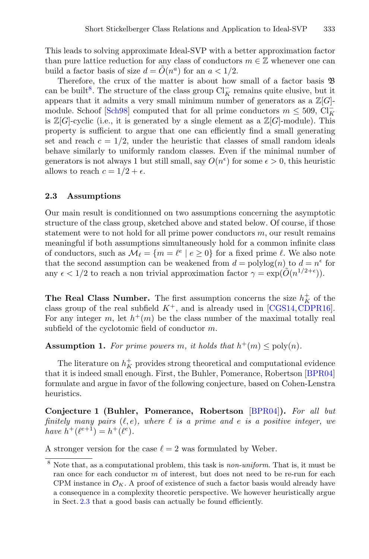This leads to solving approximate Ideal-SVP with a better approximation factor than pure lattice reduction for any class of conductors  $m \in \mathbb{Z}$  whenever one can build a factor basis of size  $d = \tilde{O}(n^a)$  for an  $a < 1/2$ .

Therefore, the crux of the matter is about how small of a factor basis B can be built<sup>[8](#page-9-2)</sup>. The structure of the class group  $\text{Cl}_{K}^-$  remains quite elusive, but it appears that it admits a very small minimum number of generators as a  $\mathbb{Z}[G]$ -module. Schoof [\[Sch98](#page-23-9)] computed that for all prime conductors  $m \leq 509$ ,  $\text{Cl}_{K}^{-}$ is  $\mathbb{Z}[G]$ -cyclic (i.e., it is generated by a single element as a  $\mathbb{Z}[G]$ -module). This property is sufficient to argue that one can efficiently find a small generating set and reach  $c = 1/2$ , under the heuristic that classes of small random ideals behave similarly to uniformly random classes. Even if the minimal number of generators is not always 1 but still small, say  $O(n^{\epsilon})$  for some  $\epsilon > 0$ , this heuristic allows to reach  $c = 1/2 + \epsilon$ .

### <span id="page-9-1"></span>**2.3 Assumptions**

Our main result is conditionned on two assumptions concerning the asymptotic structure of the class group, sketched above and stated below. Of course, if those statement were to not hold for all prime power conductors  $m$ , our result remains meaningful if both assumptions simultaneously hold for a common infinite class of conductors, such as  $\mathcal{M}_{\ell} = \{m = \ell^e \mid e \ge 0\}$  for a fixed prime  $\ell$ . We also note that the second assumption can be weakened from  $d = \text{polylog}(n)$  to  $d = n^{\epsilon}$  for any  $\epsilon < 1/2$  to reach a non trivial approximation factor  $\gamma = \exp(\tilde{O}(n^{1/2+\epsilon}))$ .

**The Real Class Number.** The first assumption concerns the size  $h<sub>K</sub><sup>+</sup>$  of the class group of the real subfield  $K^+$ , and is already used in [\[CGS14](#page-22-1), [CDPR16\]](#page-22-6). For any integer m, let  $h^+(m)$  be the class number of the maximal totally real subfield of the cyclotomic field of conductor m.

<span id="page-9-0"></span>**Assumption 1.** For prime powers m, it holds that  $h^+(m) \leq \text{poly}(n)$ .

The literature on  $h_K^+$  provides strong theoretical and computational evidence that it is indeed small enough. First, the Buhler, Pomerance, Robertson [\[BPR04\]](#page-22-11) formulate and argue in favor of the following conjecture, based on Cohen-Lenstra heuristics.

<span id="page-9-3"></span>**Conjecture 1 (Buhler, Pomerance, Robertson** [\[BPR04](#page-22-11)]**).** *For all but*  $finitely many pairs  $(\ell, e)$ , where  $\ell$  is a prime and  $e$  is a positive integer, we$ *have*  $h^+(\ell^{e+1}) = h^+(\ell^e)$ .

A stronger version for the case  $\ell = 2$  was formulated by Weber.

<span id="page-9-2"></span><sup>8</sup> Note that, as a computational problem, this task is *non-uniform*. That is, it must be ran once for each conductor  $m$  of interest, but does not need to be re-run for each CPM instance in  $\mathcal{O}_K$ . A proof of existence of such a factor basis would already have a consequence in a complexity theoretic perspective. We however heuristically argue in Sect. [2.3](#page-9-1) that a good basis can actually be found efficiently.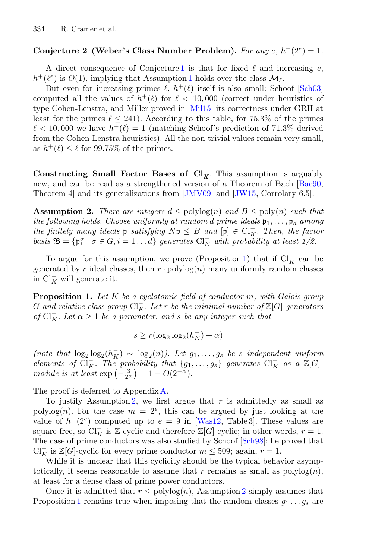### **Conjecture 2 (Weber's Class Number Problem).** For any  $e$ ,  $h^+(2^e)=1$ .

A direct consequence of Conjecture [1](#page-9-3) is that for fixed  $\ell$  and increasing  $e$ ,  $h^+(\ell^e)$  is  $O(1)$  $O(1)$  $O(1)$ , implying that Assumption 1 holds over the class  $\mathcal{M}_{\ell}$ .

But even for increasing primes  $\ell$ ,  $h^+(\ell)$  itself is also small: Schoof [\[Sch03](#page-23-17)] computed all the values of  $h^+(\ell)$  for  $\ell < 10,000$  (correct under heuristics of type Cohen-Lenstra, and Miller proved in [\[Mil15](#page-23-18)] its correctness under GRH at least for the primes  $\ell \leq 241$ ). According to this table, for 75.3% of the primes  $\ell < 10,000$  we have  $h^+(\ell) = 1$  (matching Schoof's prediction of 71.3% derived from the Cohen-Lenstra heuristics). All the non-trivial values remain very small, as  $h^+(\ell) \leq \ell$  for 99.75% of the primes.

**Constructing Small Factor Bases of**  $Cl_K^-$ **.** This assumption is arguably new, and can be read as a strengthened version of a Theorem of Bach [\[Bac90](#page-21-2), Theorem 4] and its generalizations from [\[JMV09](#page-22-10)] and [\[JW15,](#page-23-15) Corrolary 6.5].

<span id="page-10-0"></span>**Assumption 2.** *There are integers*  $d \leq \text{polylog}(n)$  *and*  $B \leq \text{poly}(n)$  *such that the following holds. Choose uniformly at random d prime ideals*  $\mathfrak{p}_1, \ldots, \mathfrak{p}_d$  *among the finitely many ideals* **p** *satisfying*  $Np \leq B$  *and*  $[p] \in Cl_K^-$ *. Then, the factor basis*  $\mathfrak{B} = {\mathfrak{p}_i^{\sigma} \mid \sigma \in G, i = 1 \dots d}$  *generates*  $\text{Cl}_K^-$  *with probability at least 1/2.* 

To argue for this assumption, we prove (Proposition [1\)](#page-10-1) that if  $\text{Cl}_{K}^-$  can be generated by r ideal classes, then  $r \cdot \text{polylog}(n)$  many uniformly random classes in  $\mathrm{Cl}_{K}^{-}$  will generate it.

<span id="page-10-1"></span>**Proposition 1.** *Let* K *be a cyclotomic field of conductor* m*, with Galois group*  $G$  and relative class group  $\text{Cl}_{K}^{-}$ . Let  $r$  be the minimal number of  $\mathbb{Z}[G]$ -generators *of*  $Cl_K^-$ *. Let*  $\alpha \geq 1$  *be a parameter, and s be any integer such that* 

$$
s \ge r(\log_2 \log_2 (h_K^-) + \alpha)
$$

(note that  $\log_2 \log_2(h_K^-) \sim \log_2(n)$ ). Let  $g_1, \ldots, g_s$  be *s* independent uniform *elements of*  $Cl_K^-$ . The probability that  $\{g_1, \ldots, g_s\}$  generates  $Cl_K^-$  *as a*  $\mathbb{Z}[G]$ *module is at least*  $\exp(-\frac{3}{2^{\alpha}}) = 1 - O(2^{-\alpha}).$ 

The proof is deferred to Appendix [A.](#page-18-0)

To justify Assumption [2,](#page-10-0) we first argue that  $r$  is admittedly as small as polylog(n). For the case  $m = 2^e$ , this can be argued by just looking at the value of  $h^-(2^e)$  computed up to  $e = 9$  in [\[Was12](#page-24-3), Table 3]. These values are square-free, so Cl<sub>K</sub> is Z-cyclic and therefore Z[G]-cyclic; in other words,  $r = 1$ . The case of prime conductors was also studied by Schoof [\[Sch98\]](#page-23-9): he proved that  $\text{Cl}_K^-$  is  $\mathbb{Z}[G]$ -cyclic for every prime conductor  $m \leq 509$ ; again,  $r = 1$ .

While it is unclear that this cyclicity should be the typical behavior asymptotically, it seems reasonable to assume that r remains as small as  $\text{polylog}(n)$ , at least for a dense class of prime power conductors.

Once it is admitted that  $r \leq \text{polylog}(n)$ , Assumption [2](#page-10-0) simply assumes that Proposition [1](#page-10-1) remains true when imposing that the random classes  $g_1 \dots g_s$  are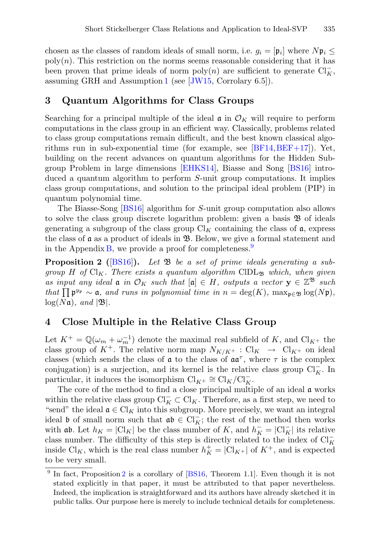chosen as the classes of random ideals of small norm, i.e.  $g_i = [\mathfrak{p}_i]$  where  $N\mathfrak{p}_i \leq$  $poly(n)$ . This restriction on the norms seems reasonable considering that it has been proven that prime ideals of norm  $\text{poly}(n)$  are sufficient to generate  $\text{Cl}_K^-$ , assuming GRH and Assumption [1](#page-9-0) (see [\[JW15](#page-23-15), Corrolary 6.5]).

## **3 Quantum Algorithms for Class Groups**

Searching for a principal multiple of the ideal  $\mathfrak{a}$  in  $\mathcal{O}_K$  will require to perform computations in the class group in an efficient way. Classically, problems related to class group computations remain difficult, and the best known classical algorithms run in sub-exponential time (for example, see  $[BF14, BEF+17]$  $[BF14, BEF+17]$  $[BF14, BEF+17]$  $[BF14, BEF+17]$ ). Yet, building on the recent advances on quantum algorithms for the Hidden Subgroup Problem in large dimensions [\[EHKS14](#page-22-3)], Biasse and Song [\[BS16](#page-22-4)] introduced a quantum algorithm to perform S-unit group computations. It implies class group computations, and solution to the principal ideal problem (PIP) in quantum polynomial time.

The Biasse-Song [\[BS16](#page-22-4)] algorithm for S-unit group computation also allows to solve the class group discrete logarithm problem: given a basis B of ideals generating a subgroup of the class group  $\mathrm{Cl}_K$  containing the class of a, express the class of  $\alpha$  as a product of ideals in  $\mathfrak{B}$ . Below, we give a formal statement and in the Appendix  $\overline{B}$ , we provide a proof for completeness.<sup>[9](#page-11-1)</sup>

<span id="page-11-0"></span>**Proposition 2 (**[\[BS16](#page-22-4)]**).** *Let* B *be a set of prime ideals generating a subgroup*  $H$  *of*  $Cl_K$ *. There exists a quantum algorithm* ClDL<sub>B</sub> *which, when given as input any ideal*  $\mathfrak{a}$  *in*  $\mathcal{O}_K$  *such that*  $[\mathfrak{a}] \in H$ *, outputs a vector*  $\mathbf{y} \in \mathbb{Z}^{\mathfrak{B}}$  *such that*  $\prod \mathfrak{p}^{y_{\mathfrak{p}}} \sim \mathfrak{a}$ *, and runs in polynomial time in*  $n = \deg(K)$ *,* max $_{\mathfrak{p} \in \mathfrak{B}} \log(N\mathfrak{p})$ *,*  $log(N\mathfrak{a})$ *, and*  $|\mathfrak{B}|$ *.* 

# <span id="page-11-2"></span>**4 Close Multiple in the Relative Class Group**

Let  $K^+ = \mathbb{Q}(\omega_m + \omega_m^{-1})$  denote the maximal real subfield of K, and  $\text{Cl}_{K^+}$  the class group of  $K^+$ . The relative norm map  $N_{K/K^+}$ : Cl<sub>K</sub>  $\rightarrow$  Cl<sub>K</sub>+ on ideal classes (which sends the class of  $\alpha$  to the class of  $\alpha\alpha^{\tau}$ , where  $\tau$  is the complex conjugation) is a surjection, and its kernel is the relative class group  $Cl_K^-$ . In particular, it induces the isomorphism  $\text{Cl}_{K^+} \cong \text{Cl}_K/\text{Cl}_K^-$ .

The core of the method to find a close principal multiple of an ideal a works within the relative class group  $\text{Cl}_K^- \subset \text{Cl}_K$ . Therefore, as a first step, we need to "send" the ideal  $\mathfrak{a} \in \mathrm{Cl}_K$  into this subgroup. More precisely, we want an integral ideal b of small norm such that  $\mathfrak{ab} \in \mathrm{Cl}_K^-$ ; the rest of the method then works with **ab**. Let  $h_K = |\mathcal{C}|_K$  be the class number of K, and  $h_K^- = |\mathcal{C}|_K^-|$  its relative class number. The difficulty of this step is directly related to the index of  $\text{Cl}_{K}^$ inside Cl<sub>K</sub>, which is the real class number  $h_K^+ = |\text{Cl}_{K^+}|$  of  $K^+$ , and is expected to be very small.

<span id="page-11-1"></span><sup>&</sup>lt;sup>9</sup> In fact, Proposition [2](#page-11-0) is a corollary of [\[BS16,](#page-22-4) Theorem 1.1]. Even though it is not stated explicitly in that paper, it must be attributed to that paper nevertheless. Indeed, the implication is straightforward and its authors have already sketched it in public talks. Our purpose here is merely to include technical details for completeness.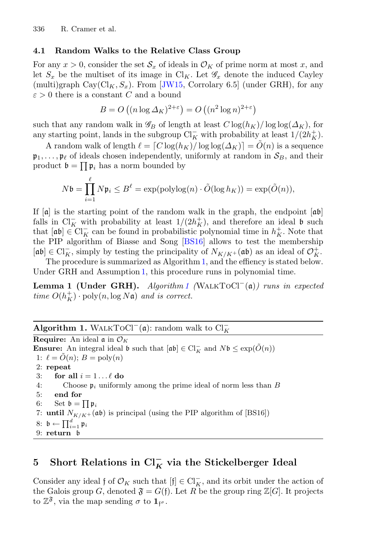### **4.1 Random Walks to the Relative Class Group**

For any  $x > 0$ , consider the set  $\mathcal{S}_x$  of ideals in  $\mathcal{O}_K$  of prime norm at most x, and let  $S_x$  be the multiset of its image in Cl<sub>K</sub>. Let  $\mathscr{G}_x$  denote the induced Cayley (multi)graph  $\text{Cay}(\text{Cl}_K, S_x)$ . From [\[JW15,](#page-23-15) Corrolary 6.5] (under GRH), for any  $\varepsilon > 0$  there is a constant C and a bound

$$
B = O\left((n \log \Delta_K)^{2+\epsilon}\right) = O\left((n^2 \log n)^{2+\epsilon}\right)
$$

such that any random walk in  $\mathscr{G}_B$  of length at least  $C \log(h_K)/\log \log(\Delta_K)$ , for any starting point, lands in the subgroup  $\text{Cl}_{K}^-$  with probability at least  $1/(2h_K^+)$ .

A random walk of length  $\ell = \lceil C \log(h_K) / \log \log(\Delta_K) \rceil = \tilde{O}(n)$  is a sequence  $\mathfrak{p}_1,\ldots,\mathfrak{p}_\ell$  of ideals chosen independently, uniformly at random in  $\mathcal{S}_B$ , and their product  $\mathfrak{b} = \prod \mathfrak{p}_i$  has a norm bounded by

$$
N\mathfrak{b} = \prod_{i=1}^{\ell} N\mathfrak{p}_i \le B^{\ell} = \exp(\text{polylog}(n) \cdot \tilde{O}(\log h_K)) = \exp(\tilde{O}(n)),
$$

If  $[a]$  is the starting point of the random walk in the graph, the endpoint  $[a\mathfrak{b}]$ falls in Cl<sub>K</sub> with probability at least  $1/(2h_K^+)$ , and therefore an ideal b such that  $[\mathfrak{a}\mathfrak{b}] \in \mathrm{Cl}_K^-$  can be found in probabilistic polynomial time in  $h_K^+$ . Note that the PIP algorithm of Biasse and Song [\[BS16\]](#page-22-4) allows to test the membership  $[\mathfrak{a}\mathfrak{b}] \in \mathrm{Cl}_K^-$ , simply by testing the principality of  $N_{K/K^+}(\mathfrak{a}\mathfrak{b})$  as an ideal of  $\mathcal{O}_K^+$ .

The procedure is summarized as Algorithm [1,](#page-12-0) and the effiency is stated below. Under GRH and Assumption [1,](#page-9-0) this procedure runs in polynomial time.

<span id="page-12-1"></span>**Lemma 1 (Under GRH).** *Algorithm [1](#page-12-0) (*WalkToCl−(a)*) runs in expected time*  $O(h_K^+) \cdot \text{poly}(n, \log N\mathfrak{a})$  *and is correct.* 

# **Algorithm 1.** WALKTOCl<sup>-</sup>( $\mathfrak{a}$ ): random walk to Cl<sub>K</sub>

<span id="page-12-0"></span>**Require:** An ideal  $\mathfrak{a}$  in  $\mathcal{O}_K$ **Ensure:** An integral ideal  $\mathfrak{b}$  such that  $[\mathfrak{ab}] \in \mathrm{Cl}_K^-$  and  $N\mathfrak{b} \leq \exp(\tilde{O}(n))$ 1:  $\ell = \tilde{O}(n); B = \text{poly}(n)$ 2: **repeat** 3: **for all**  $i = 1...l$  do 4: Choose  $\mathfrak{p}_i$  uniformly among the prime ideal of norm less than B 5: **end for** 6: Set  $\mathfrak{b} = \prod \mathfrak{p}_i$ 7: **until**  $N_{K/K^+}(\mathfrak{ab})$  is principal (using the PIP algorithm of [BS16]) 8:  $\mathfrak{b} \leftarrow \prod_{i=1}^d \mathfrak{p}_i$ 9: **return** b

# **5 Short Relations in Cl***<sup>−</sup> <sup>K</sup>* **via the Stickelberger Ideal**

Consider any ideal f of  $\mathcal{O}_K$  such that  $[f] \in \mathrm{Cl}_K^-$ , and its orbit under the action of the Galois group G, denoted  $\mathfrak{F} = G(f)$ . Let R be the group ring  $\mathbb{Z}[G]$ . It projects to  $\mathbb{Z}^3$ , via the map sending  $\sigma$  to  $\mathbf{1}_{f^{\sigma}}$ .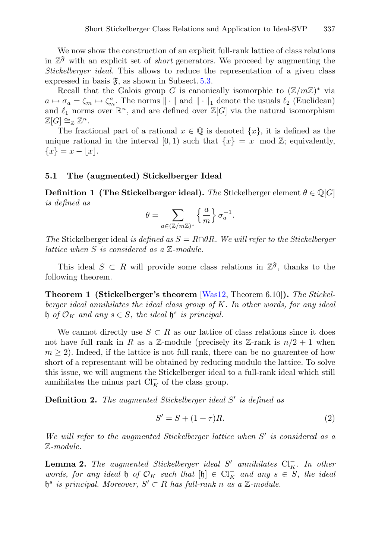We now show the construction of an explicit full-rank lattice of class relations in  $\mathbb{Z}^3$  with an explicit set of *short* generators. We proceed by augmenting the *Stickelberger ideal*. This allows to reduce the representation of a given class expressed in basis  $\mathfrak{F}$ , as shown in Subsect. [5.3.](#page-15-0)

Recall that the Galois group G is canonically isomorphic to  $(\mathbb{Z}/m\mathbb{Z})^*$  via  $a \mapsto \sigma_a = \zeta_m \mapsto \zeta_m^a$ . The norms  $\|\cdot\|$  and  $\|\cdot\|_1$  denote the usuals  $\ell_2$  (Euclidean) and  $\ell_1$  norms over  $\mathbb{R}^n$ , and are defined over  $\mathbb{Z}[G]$  via the natural isomorphism  $\mathbb{Z}[G] \cong_{\mathbb{Z}} \mathbb{Z}^n$ .

The fractional part of a rational  $x \in \mathbb{Q}$  is denoted  $\{x\}$ , it is defined as the unique rational in the interval [0, 1) such that  $\{x\} = x \mod \mathbb{Z}$ ; equivalently,  ${x} = x - |x|.$ 

#### **5.1 The (augmented) Stickelberger Ideal**

**Definition 1 (The Stickelberger ideal).** *The* Stickelberger element  $\theta \in \mathbb{Q}[G]$ *is defined as*

$$
\theta = \sum_{a \in (\mathbb{Z}/m\mathbb{Z})^*} \left\{ \frac{a}{m} \right\} \sigma_a^{-1}.
$$

*The* Stickelberger ideal *is defined as* S = R∩θR*. We will refer to the Stickelberger lattice when* S *is considered as a* Z*-module.*

This ideal  $S \subset R$  will provide some class relations in  $\mathbb{Z}^3$ , thanks to the following theorem.

**Theorem 1 (Stickelberger's theorem** [\[Was12](#page-24-3), Theorem 6.10]**).** *The Stickelberger ideal annihilates the ideal class group of* K*. In other words, for any ideal*  $\mathfrak h$  *of*  $\mathcal O_K$  *and any*  $s \in S$ *, the ideal*  $\mathfrak h^s$  *is principal.* 

We cannot directly use  $S \subset R$  as our lattice of class relations since it does not have full rank in R as a Z-module (precisely its Z-rank is  $n/2 + 1$  when  $m \geq 2$ ). Indeed, if the lattice is not full rank, there can be no guarentee of how short of a representant will be obtained by reducing modulo the lattice. To solve this issue, we will augment the Stickelberger ideal to a full-rank ideal which still annihilates the minus part  $\text{Cl}_{K}^-$  of the class group.

**Definition 2.** *The augmented Stickelberger ideal* S' *is defined as* 

$$
S' = S + (1 + \tau)R.\tag{2}
$$

*We will refer to the augmented Stickelberger lattice when* S' *is considered as a* Z*-module.*

<span id="page-13-0"></span>**Lemma 2.** The augmented Stickelberger ideal S' annihilates  $Cl_K^-$ . In other *words, for any ideal* h *of*  $\mathcal{O}_K$  *such that*  $[\mathfrak{h}] \in \mathrm{Cl}_K^-$  *and any*  $s \in S$ *, the ideal*  $\mathfrak{h}^s$  *is principal. Moreover,*  $S' \subset R$  *has full-rank n as* a Z-module.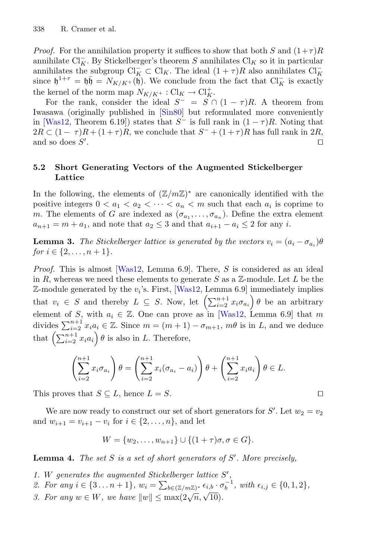*Proof.* For the annihilation property it suffices to show that both S and  $(1+\tau)R$ annihilate Cl<sub>K</sub>. By Stickelberger's theorem S annihilates Cl<sub>K</sub> so it in particular annihilates the subgroup  $Cl_K^- \subset Cl_K$ . The ideal  $(1 + \tau)R$  also annihilates  $Cl_K^$ since  $\mathfrak{h}^{1+\tau} = \mathfrak{h}\bar{\mathfrak{h}} = N_{K/K^+}(\tilde{\mathfrak{h}})$ . We conclude from the fact that  $\mathrm{Cl}_K^-$  is exactly the kernel of the norm map  $N_{K/K^+}: Cl_K \to Cl_K^+$ .

For the rank, consider the ideal  $S^- = S \cap (1 - \tau)R$ . A theorem from Iwasawa (originally published in [\[Sin80](#page-24-4)] but reformulated more conveniently in [\[Was12](#page-24-3), Theorem 6.19]) states that  $S^-$  is full rank in  $(1 - \tau)R$ . Noting that  $2R \subset (1 - \tau)R + (1 + \tau)R$ , we conclude that  $S^- + (1 + \tau)R$  has full rank in  $2R$ , and so does  $S'$ . . In the second contract of the second contract of the second contract of the second contract of the second co<br>In the second contract of the second contract of the second contract of the second contract of the second contr

### **5.2 Short Generating Vectors of the Augmented Stickelberger Lattice**

In the following, the elements of  $(\mathbb{Z}/m\mathbb{Z})^*$  are canonically identified with the positive integers  $0 < a_1 < a_2 < \cdots < a_n < m$  such that each  $a_i$  is coprime to m. The elements of G are indexed as  $(\sigma_{a_1}, \ldots, \sigma_{a_n})$ . Define the extra element  $a_{n+1} = m + a_1$ , and note that  $a_2 \leq 3$  and that  $a_{i+1} - a_i \leq 2$  for any i.

<span id="page-14-0"></span>**Lemma 3.** *The Stickelberger lattice is generated by the vectors*  $v_i = (a_i - \sigma_{a_i})\theta$ *for*  $i \in \{2, ..., n+1\}$ *.* 

*Proof.* This is almost [\[Was12,](#page-24-3) Lemma 6.9]. There, S is considered as an ideal in R, whereas we need these elements to generate S as a  $\mathbb{Z}$ -module. Let L be the  $\mathbb{Z}$ -module generated by the  $v_i$ 's. First, [\[Was12](#page-24-3), Lemma 6.9] immediately implies that  $v_i \in S$  and thereby  $L \subseteq S$ . Now, let  $\left(\sum_{i=2}^{n+1} x_i \sigma_{a_i}\right) \theta$  be an arbitrary element of S, with  $a_i \in \mathbb{Z}$ . One can prove as in [\[Was12,](#page-24-3) Lemma 6.9] that m divides  $\sum_{i=2}^{n+1} x_i a_i \in \mathbb{Z}$ . Since  $m = (m+1) - \sigma_{m+1}$ ,  $m\theta$  is in L, and we deduce that  $\left(\sum_{i=2}^{n+1} x_i a_i\right) \theta$  is also in L. Therefore,

$$
\left(\sum_{i=2}^{n+1} x_i \sigma_{a_i}\right) \theta = \left(\sum_{i=2}^{n+1} x_i (\sigma_{a_i} - a_i)\right) \theta + \left(\sum_{i=2}^{n+1} x_i a_i\right) \theta \in L.
$$

This proves that  $S \subseteq L$ , hence  $L = S$ .

We are now ready to construct our set of short generators for  $S'$ . Let  $w_2 = v_2$ and  $w_{i+1} = v_{i+1} - v_i$  for  $i \in \{2, ..., n\}$ , and let

$$
W = \{w_2, \dots, w_{n+1}\} \cup \{(1+\tau)\sigma, \sigma \in G\}.
$$

<span id="page-14-1"></span>**Lemma 4.** *The set* S *is a set of short generators of* S *. More precisely,*

- *1.* W *generates the augmented Stickelberger lattice* S *,*
- 2. For any  $i \in \{3 \dots n+1\}$ ,  $w_i = \sum_{b \in (\mathbb{Z}/m\mathbb{Z})^*} \epsilon_{i,b} \cdot \sigma_b^{-1}$ , with  $\epsilon_{i,j} \in \{0, 1, 2\}$ ,
- *3. For any*  $w \in W$ *, we have*  $||w|| \le \max(2\sqrt{n}, \sqrt{10})$ *.*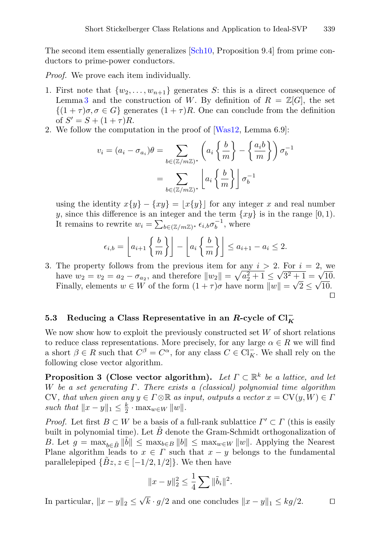The second item essentially generalizes [\[Sch10,](#page-23-7) Proposition 9.4] from prime conductors to prime-power conductors.

*Proof.* We prove each item individually.

- 1. First note that  $\{w_2,\ldots,w_{n+1}\}$  generates S: this is a direct consequence of Lemma [3](#page-14-0) and the construction of W. By definition of  $R = \mathbb{Z}[G]$ , the set  $\{(1+\tau)\sigma, \sigma \in G\}$  generates  $(1+\tau)R$ . One can conclude from the definition of  $S' = S + (1 + \tau)R$ .
- 2. We follow the computation in the proof of [\[Was12,](#page-24-3) Lemma 6.9]:

$$
v_i = (a_i - \sigma_{a_i})\theta = \sum_{b \in (\mathbb{Z}/m\mathbb{Z})^*} \left( a_i \left\{ \frac{b}{m} \right\} - \left\{ \frac{a_i b}{m} \right\} \right) \sigma_b^{-1}
$$

$$
= \sum_{b \in (\mathbb{Z}/m\mathbb{Z})^*} \left[ a_i \left\{ \frac{b}{m} \right\} \right] \sigma_b^{-1}
$$

using the identity  $x\{y\} - \{xy\} = |x\{y\}|$  for any integer x and real number y, since this difference is an integer and the term  $\{xy\}$  is in the range [0, 1). It remains to rewrite  $w_i = \sum_{b \in (\mathbb{Z}/m\mathbb{Z})^*} \epsilon_{i,b} \sigma_b^{-1}$ , where

$$
\epsilon_{i,b} = \left\lfloor a_{i+1} \left\{ \frac{b}{m} \right\} \right\rfloor - \left\lfloor a_i \left\{ \frac{b}{m} \right\} \right\rfloor \le a_{i+1} - a_i \le 2.
$$

3. The property follows from the previous item for any  $i > 2$ . For  $i = 2$ , we have  $w_2 = v_2 = a_2 - \sigma_{a_2}$ , and therefore  $||w_2|| = \sqrt{a_2^2 + 1} \le \sqrt{3^2 + 1} = \sqrt{10}$ . Finally, elements  $w \in W$  of the form  $(1 + \tau)\sigma$  have norm  $||w|| = \sqrt{2} \le \sqrt{10}$ .

 $\Box$ 

# <span id="page-15-0"></span>**5.3** Reducing a Class Representative in an *R*-cycle of  $\text{Cl}_{K}^-$

We now show how to exploit the previously constructed set  $W$  of short relations to reduce class representations. More precisely, for any large  $\alpha \in R$  we will find a short  $\beta \in R$  such that  $C^{\beta} = C^{\alpha}$ , for any class  $C \in \text{Cl}_{K}^{-}$ . We shall rely on the following close vector algorithm.

<span id="page-15-1"></span>**Proposition 3 (Close vector algorithm).** *Let*  $\Gamma \subset \mathbb{R}^k$  *be a lattice, and let* W *be a set generating* Γ*. There exists a (classical) polynomial time algorithm* CV, that when given any  $y \in \Gamma \otimes \mathbb{R}$  as input, outputs a vector  $x = \mathrm{CV}(y, W) \in \Gamma$ *such that*  $||x - y||_1 \leq \frac{k}{2} \cdot \max_{w \in W} ||w||.$ 

*Proof.* Let first  $B \subset W$  be a basis of a full-rank sublattice  $\Gamma' \subset \Gamma$  (this is easily built in polynomial time). Let  $\tilde{B}$  denote the Gram-Schmidt orthogonalization of B. Let  $g = \max_{b \in \tilde{B}} \|\tilde{b}\| \leq \max_{b \in B} \|b\| \leq \max_{w \in W} \|w\|$ . Applying the Nearest Plane algorithm leads to  $x \in \Gamma$  such that  $x - y$  belongs to the fundamental parallelepiped  $\{\tilde{B}z, z \in [-1/2, 1/2]\}$ . We then have

$$
||x - y||_2^2 \le \frac{1}{4} \sum ||\tilde{b}_i||^2.
$$

In particular,  $||x - y||_2 \le \sqrt{k} \cdot g/2$  and one concludes  $||x - y||_1 \le kg/2$ .  $\square$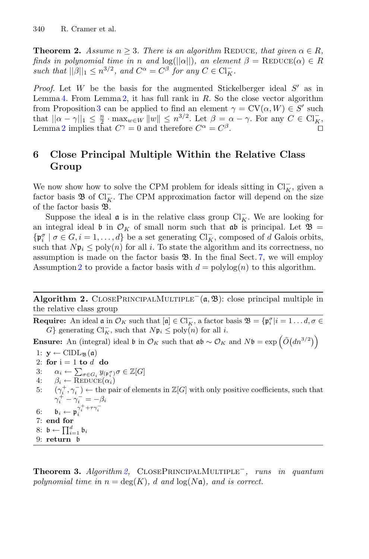<span id="page-16-2"></span>**Theorem 2.** Assume  $n \geq 3$ . There is an algorithm REDUCE, that given  $\alpha \in R$ , *finds in polynomial time in* n and  $log(||\alpha||)$ *, an element*  $\beta =$  REDUCE( $\alpha$ )  $\in$  R *such that*  $||\beta||_1 \le n^{3/2}$ , and  $C^{\alpha} = C^{\beta}$  *for any*  $C \in \mathrm{Cl}_K^-$ .

*Proof.* Let  $W$  be the basis for the augmented Stickelberger ideal  $S'$  as in Lemma [4.](#page-14-1) From Lemma [2,](#page-13-0) it has full rank in  $R$ . So the close vector algorithm from Proposition [3](#page-15-1) can be applied to find an element  $\gamma = CV(\alpha, W) \in S'$  such that  $||\alpha - \gamma||_1 \leq \frac{n}{2} \cdot \max_{w \in W} ||w|| \leq n^{3/2}$ . Let  $\beta = \alpha - \gamma$ . For any  $C \in \mathrm{Cl}_K^-$ , Lemma [2](#page-13-0) implies that  $C^{\gamma} = 0$  and therefore  $C^{\alpha} = C^{\beta}$ .

# <span id="page-16-0"></span>**6 Close Principal Multiple Within the Relative Class Group**

We now show how to solve the CPM problem for ideals sitting in  $\text{Cl}_K^-$ , given a factor basis  $\mathfrak{B}$  of Cl<sub>K</sub>. The CPM approximation factor will depend on the size of the factor basis B.

Suppose the ideal  $\mathfrak a$  is in the relative class group  $\text{Cl}_K^-$ . We are looking for an integral ideal b in  $\mathcal{O}_K$  of small norm such that  $\mathfrak{a} \mathfrak{b}$  is principal. Let  $\mathfrak{B} =$  $\{\mathfrak{p}_i^{\sigma} \mid \sigma \in G, i = 1, \ldots, d\}$  be a set generating  $\text{Cl}_K^-$ , composed of d Galois orbits, such that  $N\mathfrak{p}_i \leq \text{poly}(n)$  for all i. To state the algorithm and its correctness, no assumption is made on the factor basis  $\mathfrak{B}$ . In the final Sect. [7,](#page-17-0) we will employ Assumption [2](#page-10-0) to provide a factor basis with  $d = \text{polylog}(n)$  to this algorithm.

**Algorithm 2.** CLOSEPRINCIPALMULTIPLE<sup> $-$ </sup>( $\alpha$ ,  $\mathcal{B}$ ): close principal multiple in the relative class group

<span id="page-16-1"></span>**Require:** An ideal  $\mathfrak{a}$  in  $\mathcal{O}_K$  such that  $[\mathfrak{a}] \in \mathrm{Cl}_K^-$ , a factor basis  $\mathfrak{B} = {\mathfrak{p}_i^{\sigma}} | i = 1 \dots d, \sigma \in \mathbb{C}$ G} generating  $\text{Cl}_K^-$ , such that  $N\mathfrak{p}_i \le \text{poly}(n)$  for all i.

**Ensure:** An (integral) ideal  $\mathfrak{b}$  in  $\mathcal{O}_K$  such that  $\mathfrak{a}\mathfrak{b} \sim \mathcal{O}_K$  and  $N\mathfrak{b} = \exp\left(\tilde{O}(dn^{3/2})\right)$ 

1:  $\mathbf{y} \leftarrow \text{CIDL}_{\mathfrak{B}}(\mathfrak{a})$ 2: **for**  $i = 1$  **to**  $d$  **do** 

- 3:  $\alpha_i \leftarrow \sum_{\sigma \in G_i} y_{(\mathfrak{p}_i^{\sigma})} \sigma \in \mathbb{Z}[G]$
- 4:  $\beta_i \leftarrow \text{REDUCE}(\alpha_i)$ <br>5:  $(\gamma^+,\gamma^-) \leftarrow \text{the pa}$
- 5:  $(\gamma_i^+,\gamma_i^-) \leftarrow$  the pair of elements in  $\mathbb{Z}[G]$  with only positive coefficients, such that  $\gamma_i^+ - \gamma_i^- = -\beta_i$
- 6:  $\mathfrak{b}_i \leftarrow \mathfrak{p}_i^{\gamma_i^+ + \tau \gamma_i^-}$ 7: **end for** 8:  $\mathfrak{b} \leftarrow \prod_{i=1}^d \mathfrak{b}_i$ 9: **return** b

<span id="page-16-3"></span>**Theorem 3.** *Algorithm [2,](#page-16-1)* ClosePrincipalMultiple−*, runs in quantum polynomial time in*  $n = \deg(K)$ , d and  $\log(N\mathfrak{a})$ , and is correct.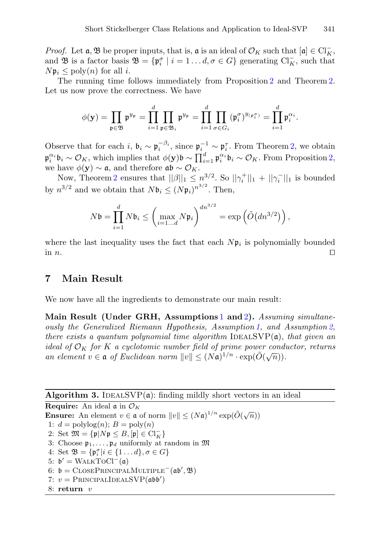*Proof.* Let  $\mathfrak{a}, \mathfrak{B}$  be proper inputs, that is,  $\mathfrak{a}$  is an ideal of  $\mathcal{O}_K$  such that  $[\mathfrak{a}] \in \mathrm{Cl}_K^-$ , and **B** is a factor basis  $\mathfrak{B} = {\mathfrak{p}_i^{\sigma} \mid i = 1 \dots d, \sigma \in G}$  generating  $\text{Cl}_K^-$ , such that  $N\mathfrak{p}_i \leq \text{poly}(n)$  for all i.

The running time follows immediately from Proposition [2](#page-11-0) and Theorem [2.](#page-16-2) Let us now prove the correctness. We have

$$
\phi(\mathbf{y}) = \prod_{\mathfrak{p} \in \mathfrak{B}} \mathfrak{p}^{y_{\mathfrak{p}}} = \prod_{i=1}^d \prod_{\mathfrak{p} \in \mathfrak{B}_i} \mathfrak{p}^{y_{\mathfrak{p}}} = \prod_{i=1}^d \prod_{\sigma \in G_i} (\mathfrak{p}_i^{\sigma})^{y_{(\mathfrak{p}_i^{\sigma})}} = \prod_{i=1}^d \mathfrak{p}_i^{\alpha_i}.
$$

Observe that for each i,  $\mathfrak{b}_i \sim \mathfrak{p}_i^{-\beta_i}$ , since  $\mathfrak{p}_i^{-1} \sim \mathfrak{p}_i^{\tau}$ . From Theorem [2,](#page-16-2) we obtain  $\mathfrak{p}_i^{\alpha_i} \mathfrak{b}_i \sim \mathcal{O}_K$ , which implies that  $\phi(\mathbf{y}) \mathfrak{b} \sim \prod_{i=1}^d \mathfrak{p}_i^{\alpha_i} \mathfrak{b}_i \sim \mathcal{O}_K$ . From Proposition [2,](#page-11-0) we have  $\phi(\mathbf{y}) \sim \mathfrak{a}$ , and therefore  $\mathfrak{a} \mathfrak{b} \sim \mathcal{O}_K$ .

Now, Theorem [2](#page-16-2) ensures that  $||\beta||_1 \leq n^{3/2}$ . So  $||\gamma_i^+||_1 + ||\gamma_i^-||_1$  is bounded by  $n^{3/2}$  and we obtain that  $N\mathfrak{b}_i \leq (N\mathfrak{p}_i)^{n^{3/2}}$ . Then,

$$
N\mathfrak{b} = \prod_{i=1}^d N\mathfrak{b}_i \leq \left(\max_{i=1...d} N\mathfrak{p}_i\right)^{dn^{3/2}} = \exp\left(\tilde{O}\left(dn^{3/2}\right)\right),
$$

where the last inequality uses the fact that each  $N\mathfrak{p}_i$  is polynomially bounded in  $n$ .

## <span id="page-17-0"></span>**7 Main Result**

We now have all the ingredients to demonstrate our main result:

**Main Result (Under GRH, Assumptions** [1](#page-9-0) **and** [2](#page-10-0)**).** *Assuming simultaneously the Generalized Riemann Hypothesis, Assumption [1,](#page-9-0) and Assumption [2,](#page-10-0) there exists a quantum polynomial time algorithm* IDEALSVP(a)*, that given an ideal of*  $\mathcal{O}_K$  *for* K *a cyclotomic number field of prime power conductor, returns an element*  $v \in \mathfrak{a}$  *of Euclidean norm*  $||v|| \leq (N\mathfrak{a})^{1/n} \cdot \exp(\tilde{O}(\sqrt{n})).$ 

**Algorithm 3.** IDEALSVP $(a)$ : finding mildly short vectors in an ideal

<span id="page-17-1"></span>**Require:** An ideal  $\mathfrak{a}$  in  $\mathcal{O}_K$ **Ensure:** An element  $v \in \mathfrak{a}$  of norm  $||v|| \leq (N\mathfrak{a})^{1/n} \exp(\tilde{O}(\sqrt{n}))$ 1:  $d = \text{polylog}(n); B = \text{poly}(n)$ 2: Set  $\mathfrak{M} = \{ \mathfrak{p} | N \mathfrak{p} \leq B, [\mathfrak{p}] \in \mathrm{Cl}_K^- \}$ 3: Choose  $\mathfrak{p}_1,\ldots,\mathfrak{p}_d$  uniformly at random in  $\mathfrak M$ 4: Set  $\mathfrak{B} = \{ \mathfrak{p}_i^{\sigma} | i \in \{1 \dots d\}, \sigma \in G \}$ 5:  $b' = \text{WALKTOCl}^-(\mathfrak{a})$ 6:  $\mathfrak{b} = \text{CloseP}$ RINCIPALMULTIPLE<sup>-</sup>( $\mathfrak{a}\mathfrak{b}', \mathfrak{B}$ ) 7:  $v =$  PRINCIPALIDEALSVP( $\mathfrak{a} \mathfrak{b} \mathfrak{b}'$ ) 8: **return** v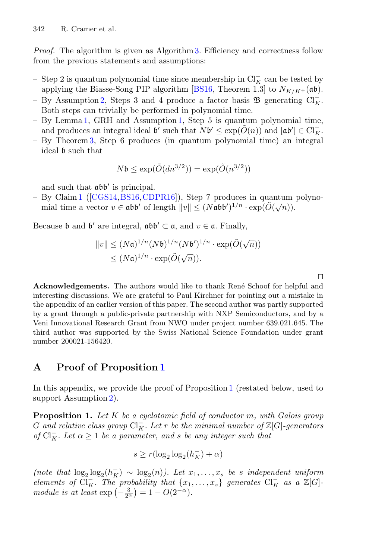*Proof.* The algorithm is given as Algorithm [3.](#page-17-1) Efficiency and correctness follow from the previous statements and assumptions:

- Step 2 is quantum polynomial time since membership in  $\text{Cl}_K^-$  can be tested by applying the Biasse-Song PIP algorithm [\[BS16](#page-22-4), Theorem 1.3] to  $N_{K/K}$ +(ab).
- By Assumption [2,](#page-10-0) Steps 3 and 4 produce a factor basis  $\mathfrak{B}$  generating  $\text{Cl}_{K}^{-}$ . Both steps can trivially be performed in polynomial time.
- By Lemma [1,](#page-12-1) GRH and Assumption [1,](#page-9-0) Step 5 is quantum polynomial time, and produces an integral ideal  $\mathfrak{b}'$  such that  $N\mathfrak{b}' \leq \exp(\tilde{O}(n))$  and  $[\mathfrak{ab}'] \in \text{Cl}_{K}^{-}$ .
- By Theorem [3,](#page-16-3) Step 6 produces (in quantum polynomial time) an integral ideal b such that

$$
N\mathfrak{b}\leq \exp(\tilde{O}(dn^{3/2}))=\exp(\tilde{O}(n^{3/2}))
$$

and such that  $\mathfrak{a} \mathfrak{b} \mathfrak{b}'$  is principal.

– By Claim [1](#page-2-3) ([\[CGS14](#page-22-1)[,BS16,](#page-22-4)[CDPR16\]](#page-22-6)), Step 7 produces in quantum polynomial time a vector  $v \in \mathfrak{abb}'$  of length  $||v|| \leq (N \mathfrak{abb}')^{1/n} \cdot \exp(\tilde{O}(\sqrt{n})).$ 

Because b and b' are integral,  $\mathfrak{abb}' \subset \mathfrak{a}$ , and  $v \in \mathfrak{a}$ . Finally,

$$
||v|| \leq (N\mathfrak{a})^{1/n} (N\mathfrak{b})^{1/n} (N\mathfrak{b}')^{1/n} \cdot \exp(\tilde{O}(\sqrt{n}))
$$
  

$$
\leq (N\mathfrak{a})^{1/n} \cdot \exp(\tilde{O}(\sqrt{n})).
$$

 $\Box$ 

**Acknowledgements.** The authors would like to thank René Schoof for helpful and interesting discussions. We are grateful to Paul Kirchner for pointing out a mistake in the appendix of an earlier version of this paper. The second author was partly supported by a grant through a public-private partnership with NXP Semiconductors, and by a Veni Innovational Research Grant from NWO under project number 639.021.645. The third author was supported by the Swiss National Science Foundation under grant number 200021-156420.

# <span id="page-18-0"></span>**A Proof of Proposition [1](#page-10-1)**

In this appendix, we provide the proof of Proposition [1](#page-10-1) (restated below, used to support Assumption [2\)](#page-10-0).

**Proposition 1.** *Let* K *be a cyclotomic field of conductor* m*, with Galois group*  $G$  and relative class group  $\text{Cl}_{K}^-$ . Let  $r$  be the minimal number of  $\mathbb{Z}[G]$ -generators *of*  $Cl_K^-$ *. Let*  $\alpha \geq 1$  *be a parameter, and s be any integer such that* 

$$
s \geq r(\log_2\log_2(h_K^-) + \alpha)
$$

(note that  $\log_2 \log_2 (h_K^-) \sim \log_2(n)$ ). Let  $x_1, \ldots, x_s$  be *s* independent uniform *elements of*  $Cl_K^-$ . The probability that  $\{x_1, \ldots, x_s\}$  generates  $Cl_K^-$  as a  $\mathbb{Z}[G]$ *module is at least*  $\exp(-\frac{3}{2^{\alpha}}) = 1 - O(2^{-\alpha}).$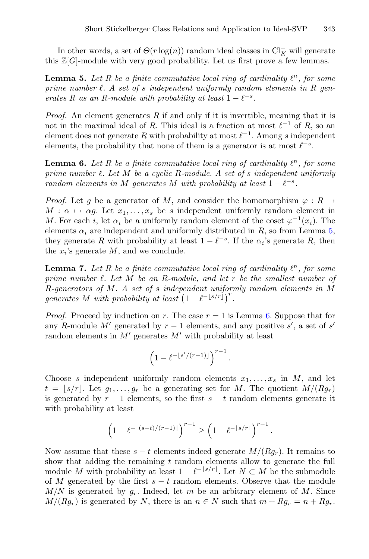<span id="page-19-0"></span>In other words, a set of  $\Theta(r \log(n))$  random ideal classes in  $\text{Cl}_{K}^{-}$  will generate this  $\mathbb{Z}[G]$ -module with very good probability. Let us first prove a few lemmas.

**Lemma 5.** Let  $R$  be a finite commutative local ring of cardinality  $\ell^n$ , for some *prime number . A set of* s *independent uniformly random elements in* R *generates*  $R$  *as an*  $R$ *-module with probability at least*  $1 - \ell^{-s}$ *.* 

*Proof.* An element generates R if and only if it is invertible, meaning that it is not in the maximal ideal of R. This ideal is a fraction at most  $\ell^{-1}$  of R, so an element does not generate R with probability at most  $\ell^{-1}$ . Among s independent elements, the probability that none of them is a generator is at most  $\ell^{-s}$ .

<span id="page-19-1"></span>**Lemma 6.** Let  $R$  be a finite commutative local ring of cardinality  $\ell^n$ , for some *prime number . Let* M *be a cyclic* R*-module. A set of* s *independent uniformly random elements in* M generates M with probability at least  $1 - \ell^{-s}$ .

*Proof.* Let q be a generator of M, and consider the homomorphism  $\varphi : R \to$  $M: \alpha \mapsto \alpha g$ . Let  $x_1, \ldots, x_s$  be s independent uniformly random element in M. For each i, let  $\alpha_i$  be a uniformly random element of the coset  $\varphi^{-1}(x_i)$ . The elements  $\alpha_i$  are independent and uniformly distributed in R, so from Lemma [5,](#page-19-0) they generate R with probability at least  $1 - \ell^{-s}$ . If the  $\alpha_i$ 's generate R, then the  $x_i$ 's generate  $M$ , and we conclude.

<span id="page-19-2"></span>**Lemma 7.** Let  $R$  be a finite commutative local ring of cardinality  $\ell^n$ , for some *prime number . Let* M *be an* R*-module, and let* r *be the smallest number of* R*-generators of* M*. A set of* s *independent uniformly random elements in* M *generates* M with probability at least  $(1 - \ell^{-\lfloor s/r \rfloor})^r$ .

*Proof.* Proceed by induction on r. The case  $r = 1$  is Lemma [6.](#page-19-1) Suppose that for any R-module M' generated by  $r-1$  elements, and any positive s', a set of s' random elements in  $M'$  generates  $M'$  with probability at least

$$
\left(1 - \ell^{-\lfloor s'/(r-1)\rfloor}\right)^{r-1}
$$

.

Choose s independent uniformly random elements  $x_1, \ldots, x_s$  in M, and let  $t = |s/r|$ . Let  $g_1, \ldots, g_r$  be a generating set for M. The quotient  $M/(Rg_r)$ is generated by  $r - 1$  elements, so the first  $s - t$  random elements generate it with probability at least

$$
\left(1-\ell^{-\lfloor (s-t)/(r-1)\rfloor}\right)^{r-1}\geq \left(1-\ell^{-\lfloor s/r\rfloor}\right)^{r-1}.
$$

Now assume that these  $s - t$  elements indeed generate  $M/(R_{q_r})$ . It remains to show that adding the remaining  $t$  random elements allow to generate the full module M with probability at least  $1 - \ell^{-\lfloor s/r \rfloor}$ . Let  $N \subset M$  be the submodule of M generated by the first  $s - t$  random elements. Observe that the module  $M/N$  is generated by  $g_r$ . Indeed, let m be an arbitrary element of M. Since  $M/(Rg_r)$  is generated by N, there is an  $n \in N$  such that  $m + Rg_r = n + Rg_r$ .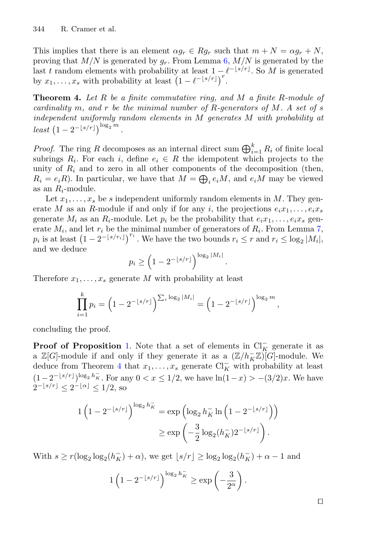This implies that there is an element  $\alpha g_r \in Rg_r$  such that  $m + N = \alpha g_r + N$ , proving that  $M/N$  is generated by  $g_r$ . From Lemma [6,](#page-19-1)  $M/N$  is generated by the last t random elements with probability at least  $1 - \ell^{-\lfloor s/r \rfloor}$ . So M is generated by  $x_1, \ldots, x_s$  with probability at least  $\left(1 - \ell^{-\lfloor s/r \rfloor}\right)^r$ .

<span id="page-20-0"></span>**Theorem 4.** *Let* R *be a finite commutative ring, and* M *a finite* R*-module of cardinality* m*, and* r *be the minimal number of* R*-generators of* M*. A set of* s *independent uniformly random elements in* M *generates* M *with probability at*  $least \left( 1 - 2^{-\lfloor s/r \rfloor} \right)^{\log_2 m}$ .

*Proof.* The ring R decomposes as an internal direct sum  $\bigoplus_{i=1}^{k} R_i$  of finite local subrings  $R_i$ . For each i, define  $e_i \in R$  the idempotent which projects to the unity of  $R_i$  and to zero in all other components of the decomposition (then,  $R_i = e_iR$ ). In particular, we have that  $M = \bigoplus_i e_iM$ , and  $e_iM$  may be viewed as an  $R_i$ -module.

Let  $x_1, \ldots, x_s$  be s independent uniformly random elements in M. They generate M as an R-module if and only if for any i, the projections  $e_i x_1, \ldots, e_i x_s$ generate  $M_i$  as an  $R_i$ -module. Let  $p_i$  be the probability that  $e_i x_1, \ldots, e_i x_s$  generate  $M_i$ , and let  $r_i$  be the minimal number of generators of  $R_i$ . From Lemma [7,](#page-19-2)  $p_i$  is at least  $\left(1-2^{-\lfloor s/r_i \rfloor}\right)^{r_i}$ . We have the two bounds  $r_i \leq r$  and  $r_i \leq \log_2|M_i|$ , and we deduce

$$
p_i \ge \left(1 - 2^{-\lfloor s/r\rfloor}\right)^{\log_2 |M_i|}
$$

.

Therefore  $x_1, \ldots, x_s$  generate M with probability at least

$$
\prod_{i=1}^k p_i = \left(1 - 2^{-\lfloor s/r \rfloor}\right)^{\sum_i \log_2 |M_i|} = \left(1 - 2^{-\lfloor s/r \rfloor}\right)^{\log_2 m},
$$

concluding the proof.

**Proof of Proposition** [1.](#page-10-1) Note that a set of elements in  $\mathrm{Cl}_{K}^-$  generate it as a  $\mathbb{Z}[G]$ -module if and only if they generate it as a  $(\mathbb{Z}/h_K^-\mathbb{Z})[G]$ -module. We deduce from Theorem [4](#page-20-0) that  $x_1, \ldots, x_s$  generate  $\text{Cl}_{K}^-$  with probability at least  $(1-2^{-\lfloor s/r\rfloor})^{\log_2 h_K^-}$ . For any  $0 < x \leq 1/2$ , we have  $\ln(1-x) > -(3/2)x$ . We have  $2^{-\lfloor s/r \rfloor} < 2^{-\lfloor \alpha \rfloor} \leq 1/2$ , so

$$
1\left(1 - 2^{-\lfloor s/r\rfloor}\right)^{\log_2 h_K^-} = \exp\left(\log_2 h_K^-\ln\left(1 - 2^{-\lfloor s/r\rfloor}\right)\right)
$$

$$
\geq \exp\left(-\frac{3}{2}\log_2(h_K^-)2^{-\lfloor s/r\rfloor}\right).
$$

With  $s \ge r(\log_2 \log_2 (h_K^-) + \alpha)$ , we get  $\lfloor s/r \rfloor \ge \log_2 \log_2 (h_K^-) + \alpha - 1$  and

$$
1\left(1-2^{-\lfloor s/r\rfloor}\right)^{\log_2 h_K^-} \geq \exp\left(-\frac{3}{2^{\alpha}}\right).
$$

| ۰ | ٦ |
|---|---|
|   |   |
|   |   |
|   |   |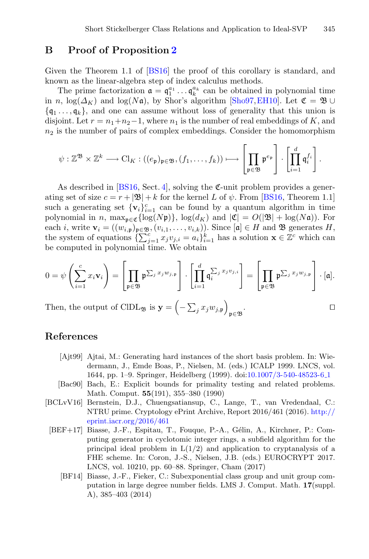### <span id="page-21-5"></span>**B Proof of Proposition [2](#page-11-0)**

Given the Theorem 1.1 of [\[BS16](#page-22-4)] the proof of this corollary is standard, and known as the linear-algebra step of index calculus methods.

The prime factorization  $\mathfrak{a} = \mathfrak{q}_1^{a_1} \dots \mathfrak{q}_k^{a_k}$  can be obtained in polynomial time in n,  $\log(\Delta_K)$  and  $\log(N\mathfrak{a})$ , by Shor's algorithm [\[Sho97](#page-23-19), EH10]. Let  $\mathfrak{C} = \mathfrak{B} \cup$  $\{q_1, \ldots, q_k\}$ , and one can assume without loss of generality that this union is disjoint. Let  $r = n_1+n_2-1$ , where  $n_1$  is the number of real embeddings of K, and  $n_2$  is the number of pairs of complex embeddings. Consider the homomorphism

$$
\psi: \mathbb{Z}^{\mathfrak{B}} \times \mathbb{Z}^k \longrightarrow \mathrm{Cl}_K: ((e_{\mathfrak{p}})_{\mathfrak{p} \in \mathfrak{B}}, (f_1, \ldots, f_k)) \longmapsto \left[\prod_{\mathfrak{p} \in \mathfrak{B}} \mathfrak{p}^{e_{\mathfrak{p}}}\right] \cdot \left[\prod_{i=1}^d \mathfrak{q}_i^{f_i}\right].
$$

As described in [\[BS16,](#page-22-4) Sect. [4\]](#page-11-2), solving the  $\mathfrak{C}\text{-}$ unit problem provides a generating set of size  $c = r + |\mathfrak{B}| + k$  for the kernel L of  $\psi$ . From [\[BS16](#page-22-4), Theorem 1.1] such a generating set  $\{v_i\}_{i=1}^c$  can be found by a quantum algorithm in time polynomial in n, max $_{\mathfrak{p}\in\mathfrak{C}}\{\log(N\mathfrak{p})\}$ ,  $\log(d_K)$  and  $|\mathfrak{C}| = O(|\mathfrak{B}| + \log(N\mathfrak{a}))$ . For each *i*, write  $\mathbf{v}_i = ((w_{i,\mathfrak{p}})_{\mathfrak{p} \in \mathfrak{B}}, (v_{i,1},\ldots,v_{i,k}))$ . Since  $[\mathfrak{a}] \in H$  and  $\mathfrak{B}$  generates H, the system of equations  $\{\sum_{j=1}^{c} x_j v_{j,i} = a_i\}_{i=1}^k$  has a solution  $\mathbf{x} \in \mathbb{Z}^c$  which can be computed in polynomial time. We obtain

$$
0 = \psi\left(\sum_{i=1}^c x_i \mathbf{v}_i\right) = \left[\prod_{\mathfrak{p} \in \mathfrak{B}} \mathfrak{p}^{\sum_j x_j w_{j,\mathfrak{p}}}\right] \cdot \left[\prod_{i=1}^d \mathfrak{q}_i^{\sum_j x_j v_{j,i}}\right] = \left[\prod_{\mathfrak{p} \in \mathfrak{B}} \mathfrak{p}^{\sum_j x_j w_{j,\mathfrak{p}}}\right] \cdot [\mathfrak{a}].
$$

Then, the output of ClDL<sub>2</sub><sup>B</sup> is  $\mathbf{y} = \left(-\sum_j x_j w_{j,\mathfrak{p}}\right)$ p∈B .

### <span id="page-21-0"></span>**References**

- [Ajt99] Ajtai, M.: Generating hard instances of the short basis problem. In: Wiedermann, J., Emde Boas, P., Nielsen, M. (eds.) ICALP 1999. LNCS, vol. 1644, pp. 1–9. Springer, Heidelberg (1999). doi[:10.1007/3-540-48523-6](http://dx.doi.org/10.1007/3-540-48523-6_1) 1
- [Bac90] Bach, E.: Explicit bounds for primality testing and related problems. Math. Comput. **55**(191), 355–380 (1990)
- <span id="page-21-4"></span><span id="page-21-3"></span><span id="page-21-2"></span><span id="page-21-1"></span>[BCLvV16] Bernstein, D.J., Chuengsatiansup, C., Lange, T., van Vredendaal, C.: NTRU prime. Cryptology ePrint Archive, Report 2016/461 (2016). [http://](http://eprint.iacr.org/2016/461) [eprint.iacr.org/2016/461](http://eprint.iacr.org/2016/461)
	- [BEF+17] Biasse, J.-F., Espitau, T., Fouque, P.-A., G´elin, A., Kirchner, P.: Computing generator in cyclotomic integer rings, a subfield algorithm for the principal ideal problem in  $L(1/2)$  and application to cryptanalysis of a FHE scheme. In: Coron, J.-S., Nielsen, J.B. (eds.) EUROCRYPT 2017. LNCS, vol. 10210, pp. 60–88. Springer, Cham (2017)
		- [BF14] Biasse, J.-F., Fieker, C.: Subexponential class group and unit group computation in large degree number fields. LMS J. Comput. Math. **17**(suppl. A), 385–403 (2014)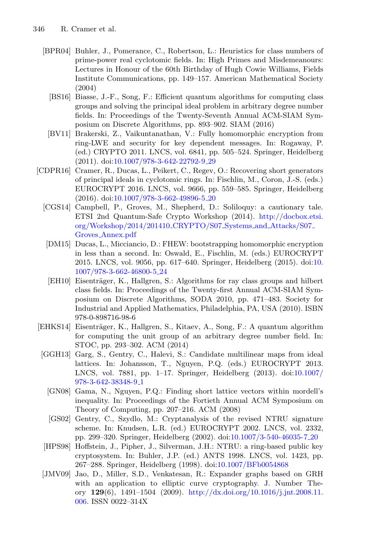- <span id="page-22-11"></span><span id="page-22-4"></span>[BPR04] Buhler, J., Pomerance, C., Robertson, L.: Heuristics for class numbers of prime-power real cyclotomic fields. In: High Primes and Misdemeanours: Lectures in Honour of the 60th Birthday of Hugh Cowie Williams, Fields Institute Communications, pp. 149–157. American Mathematical Society (2004)
	- [BS16] Biasse, J.-F., Song, F.: Efficient quantum algorithms for computing class groups and solving the principal ideal problem in arbitrary degree number fields. In: Proceedings of the Twenty-Seventh Annual ACM-SIAM Symposium on Discrete Algorithms, pp. 893–902. SIAM (2016)
	- [BV11] Brakerski, Z., Vaikuntanathan, V.: Fully homomorphic encryption from ring-LWE and security for key dependent messages. In: Rogaway, P. (ed.) CRYPTO 2011. LNCS, vol. 6841, pp. 505–524. Springer, Heidelberg (2011). doi[:10.1007/978-3-642-22792-9](http://dx.doi.org/10.1007/978-3-642-22792-9_29) 29
- <span id="page-22-8"></span><span id="page-22-7"></span><span id="page-22-6"></span><span id="page-22-1"></span>[CDPR16] Cramer, R., Ducas, L., Peikert, C., Regev, O.: Recovering short generators of principal ideals in cyclotomic rings. In: Fischlin, M., Coron, J.-S. (eds.) EUROCRYPT 2016. LNCS, vol. 9666, pp. 559–585. Springer, Heidelberg (2016). doi[:10.1007/978-3-662-49896-5](http://dx.doi.org/10.1007/978-3-662-49896-5_20) 20
	- [CGS14] Campbell, P., Groves, M., Shepherd, D.: Soliloquy: a cautionary tale. ETSI 2nd Quantum-Safe Crypto Workshop (2014). [http://docbox.etsi.](http://docbox.etsi.org/Workshop/2014/201410_CRYPTO/S07_Systems_and_Attacks/S07_Groves_Annex.pdf) [org/Workshop/2014/201410](http://docbox.etsi.org/Workshop/2014/201410_CRYPTO/S07_Systems_and_Attacks/S07_Groves_Annex.pdf) CRYPTO/S07 Systems and Attacks/S07 Groves [Annex.pdf](http://docbox.etsi.org/Workshop/2014/201410_CRYPTO/S07_Systems_and_Attacks/S07_Groves_Annex.pdf)
	- [DM15] Ducas, L., Micciancio, D.: FHEW: bootstrapping homomorphic encryption in less than a second. In: Oswald, E., Fischlin, M. (eds.) EUROCRYPT 2015. LNCS, vol. 9056, pp. 617–640. Springer, Heidelberg (2015). doi[:10.](http://dx.doi.org/10.1007/978-3-662-46800-5_24) [1007/978-3-662-46800-5](http://dx.doi.org/10.1007/978-3-662-46800-5_24) 24
	- [EH10] Eisenträger, K., Hallgren, S.: Algorithms for ray class groups and hilbert class fields. In: Proceedings of the Twenty-first Annual ACM-SIAM Symposium on Discrete Algorithms, SODA 2010, pp. 471–483. Society for Industrial and Applied Mathematics, Philadelphia, PA, USA (2010). ISBN 978-0-898716-98-6
- <span id="page-22-12"></span><span id="page-22-3"></span>[EHKS14] Eisenträger, K., Hallgren, S., Kitaev, A., Song, F.: A quantum algorithm for computing the unit group of an arbitrary degree number field. In: STOC, pp. 293–302. ACM (2014)
- <span id="page-22-9"></span><span id="page-22-2"></span>[GGH13] Garg, S., Gentry, C., Halevi, S.: Candidate multilinear maps from ideal lattices. In: Johansson, T., Nguyen, P.Q. (eds.) EUROCRYPT 2013. LNCS, vol. 7881, pp. 1–17. Springer, Heidelberg (2013). doi[:10.1007/](http://dx.doi.org/10.1007/978-3-642-38348-9_1) [978-3-642-38348-9](http://dx.doi.org/10.1007/978-3-642-38348-9_1) 1
	- [GN08] Gama, N., Nguyen, P.Q.: Finding short lattice vectors within mordell's inequality. In: Proceedings of the Fortieth Annual ACM Symposium on Theory of Computing, pp. 207–216. ACM (2008)
	- [GS02] Gentry, C., Szydlo, M.: Cryptanalysis of the revised NTRU signature scheme. In: Knudsen, L.R. (ed.) EUROCRYPT 2002. LNCS, vol. 2332, pp. 299–320. Springer, Heidelberg (2002). doi[:10.1007/3-540-46035-7](http://dx.doi.org/10.1007/3-540-46035-7_20) 20
- <span id="page-22-5"></span><span id="page-22-0"></span>[HPS98] Hoffstein, J., Pipher, J., Silverman, J.H.: NTRU: a ring-based public key cryptosystem. In: Buhler, J.P. (ed.) ANTS 1998. LNCS, vol. 1423, pp. 267–288. Springer, Heidelberg (1998). doi[:10.1007/BFb0054868](http://dx.doi.org/10.1007/BFb0054868)
- <span id="page-22-10"></span>[JMV09] Jao, D., Miller, S.D., Venkatesan, R.: Expander graphs based on GRH with an application to elliptic curve cryptography. J. Number Theory **129**(6), 1491–1504 (2009). [http://dx.doi.org/10.1016/j.jnt.2008.11.](http://dx.doi.org/10.1016/j.jnt.2008.11.006) [006.](http://dx.doi.org/10.1016/j.jnt.2008.11.006) ISSN 0022–314X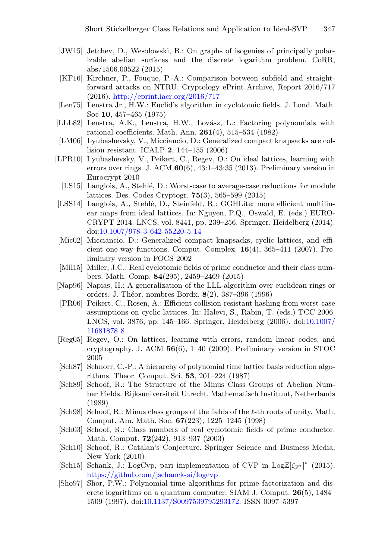- <span id="page-23-15"></span>[JW15] Jetchev, D., Wesolowski, B.: On graphs of isogenies of principally polarizable abelian surfaces and the discrete logarithm problem. CoRR, abs/1506.00522 (2015)
- <span id="page-23-14"></span>[KF16] Kirchner, P., Fouque, P.-A.: Comparison between subfield and straightforward attacks on NTRU. Cryptology ePrint Archive, Report 2016/717 (2016). <http://eprint.iacr.org/2016/717>
- <span id="page-23-12"></span>[Len75] Lenstra Jr., H.W.: Euclid's algorithm in cyclotomic fields. J. Lond. Math. Soc **10**, 457–465 (1975)
- <span id="page-23-10"></span>[LLL82] Lenstra, A.K., Lenstra, H.W., Lovász, L.: Factoring polynomials with rational coefficients. Math. Ann. **261**(4), 515–534 (1982)
- [LM06] Lyubashevsky, V., Micciancio, D.: Generalized compact knapsacks are collision resistant. ICALP **2**, 144–155 (2006)
- <span id="page-23-4"></span><span id="page-23-2"></span>[LPR10] Lyubashevsky, V., Peikert, C., Regev, O.: On ideal lattices, learning with errors over rings. J. ACM **60**(6), 43:1–43:35 (2013). Preliminary version in Eurocrypt 2010
	- [LS15] Langlois, A., Stehlé, D.: Worst-case to average-case reductions for module lattices. Des. Codes Cryptogr. **75**(3), 565–599 (2015)
- <span id="page-23-13"></span><span id="page-23-5"></span>[LSS14] Langlois, A., Stehlé, D., Steinfeld, R.: GGHLite: more efficient multilinear maps from ideal lattices. In: Nguyen, P.Q., Oswald, E. (eds.) EURO-CRYPT 2014. LNCS, vol. 8441, pp. 239–256. Springer, Heidelberg (2014). doi[:10.1007/978-3-642-55220-5](http://dx.doi.org/10.1007/978-3-642-55220-5_14) 14
- <span id="page-23-1"></span>[Mic02] Micciancio, D.: Generalized compact knapsacks, cyclic lattices, and efficient one-way functions. Comput. Complex. **16**(4), 365–411 (2007). Preliminary version in FOCS 2002
- <span id="page-23-18"></span>[Mil15] Miller, J.C.: Real cyclotomic fields of prime conductor and their class numbers. Math. Comp. **84**(295), 2459–2469 (2015)
- <span id="page-23-11"></span>[Nap96] Napias, H.: A generalization of the LLL-algorithm over euclidean rings or orders. J. Th´eor. nombres Bordx. **8**(2), 387–396 (1996)
- <span id="page-23-3"></span>[PR06] Peikert, C., Rosen, A.: Efficient collision-resistant hashing from worst-case assumptions on cyclic lattices. In: Halevi, S., Rabin, T. (eds.) TCC 2006. LNCS, vol. 3876, pp. 145–166. Springer, Heidelberg (2006). doi[:10.1007/](http://dx.doi.org/10.1007/11681878_8) [11681878](http://dx.doi.org/10.1007/11681878_8)<sub>-8</sub>
- <span id="page-23-0"></span>[Reg05] Regev, O.: On lattices, learning with errors, random linear codes, and cryptography. J. ACM **56**(6), 1–40 (2009). Preliminary version in STOC 2005
- <span id="page-23-8"></span>[Sch87] Schnorr, C.-P.: A hierarchy of polynomial time lattice basis reduction algorithms. Theor. Comput. Sci. **53**, 201–224 (1987)
- <span id="page-23-16"></span>[Sch89] Schoof, R.: The Structure of the Minus Class Groups of Abelian Number Fields. Rijksuniversiteit Utrecht, Mathematisch Instituut, Netherlands (1989)
- <span id="page-23-9"></span>[Sch98] Schoof, R.: Minus class groups of the fields of the  $\ell$ -th roots of unity. Math. Comput. Am. Math. Soc. **67**(223), 1225–1245 (1998)
- <span id="page-23-17"></span>[Sch03] Schoof, R.: Class numbers of real cyclotomic fields of prime conductor. Math. Comput. **72**(242), 913–937 (2003)
- <span id="page-23-7"></span>[Sch10] Schoof, R.: Catalan's Conjecture. Springer Science and Business Media, New York (2010)
- <span id="page-23-6"></span>[Sch15] Schank, J.: LogCvp, pari implementation of CVP in LogZ[ $\zeta_{2^n}$ ]\* (2015). <https://github.com/jschanck-si/logcvp>
- <span id="page-23-19"></span>[Sho97] Shor, P.W.: Polynomial-time algorithms for prime factorization and discrete logarithms on a quantum computer. SIAM J. Comput. **26**(5), 1484– 1509 (1997). doi[:10.1137/S0097539795293172.](http://dx.doi.org/10.1137/S0097539795293172) ISSN 0097–5397